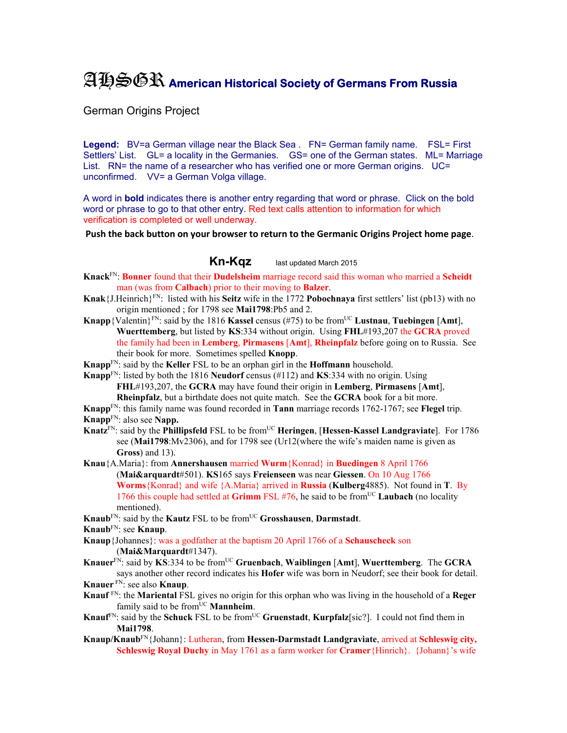## AHSGR **American Historical Society of Germans From Russia**

German Origins Project

Legend: BV=a German village near the Black Sea . FN= German family name. FSL= First Settlers' List. GL= a locality in the Germanies. GS= one of the German states. ML= Marriage List. RN= the name of a researcher who has verified one or more German origins. UC= unconfirmed. VV= a German Volga village.

A word in **bold** indicates there is another entry regarding that word or phrase. Click on the bold word or phrase to go to that other entry. Red text calls attention to information for which verification is completed or well underway.

**Push the back button on your browser to return to the Germanic Origins Project home page**.

**Kn-Kqz** last updated March 2015

- **Knack**FN: **Bonner** found that their **Dudelsheim** marriage record said this woman who married a **Scheidt** man (was from **Calbach**) prior to their moving to **Balzer**.
- **Knak**{J.Heinrich}FN: listed with his **Seitz** wife in the 1772 **Pobochnaya** first settlers' list (pb13) with no origin mentioned ; for 1798 see **Mai1798**:Pb5 and 2.
- **Knapp**{Valentin}<sup>FN</sup>: said by the 1816 **Kassel** census (#75) to be from<sup>UC</sup> Lustnau, Tuebingen [Amt], **Wuerttemberg**, but listed by **KS**:334 without origin. Using **FHL**#193,207 the **GCRA** proved the family had been in **Lemberg**, **Pirmasens** [**Amt**], **Rheinpfalz** before going on to Russia. See their book for more. Sometimes spelled **Knopp**.

**Knapp**FN: said by the **Keller** FSL to be an orphan girl in the **Hoffmann** household.

**Knapp**FN: listed by both the 1816 **Neudorf** census (#112) and **KS**:334 with no origin. Using **FHL**#193,207, the **GCRA** may have found their origin in **Lemberg**, **Pirmasens** [**Amt**], **Rheinpfalz**, but a birthdate does not quite match. See the **GCRA** book for a bit more.

**Knapp**FN: this family name was found recorded in **Tann** marriage records 1762-1767; see **Flegel** trip. **Knapp**FN: also see **Napp.** 

- **Knatz<sup>FN</sup>: said by the Phillipsfeld** FSL to be from<sup>UC</sup> **Heringen**, [Hessen-Kassel Landgraviate]. For 1786 see (**Mai1798**:Mv2306), and for 1798 see (Ur12(where the wife's maiden name is given as **Gross**) and 13).
- **Knau**{A.Maria}: from **Annershausen** married **Wurm**{Konrad} in **Buedingen** 8 April 1766 (**Mai&arquardt**#501). **KS**165 says **Freienseen** was near **Giessen**. On 10 Aug 1766 **Worms**{Konrad} and wife {A.Maria} arrived in **Russia** (**Kulberg**4885). Not found in **T**. By 1766 this couple had settled at **Grimm** FSL #76, he said to be fromUC **Laubach** (no locality mentioned).
- **Knaub**<sup>FN</sup>: said by the **Kautz** FSL to be from<sup>UC</sup> **Grosshausen**, **Darmstadt**.
- **Knaub**FN: see **Knaup**.
- **Knaup**{Johannes}: was a godfather at the baptism 20 April 1766 of a **Schauscheck** son (**Mai&Marquardt**#1347).
- **Knauer**FN: said by **KS**:334 to be fromUC **Gruenbach**, **Waiblingen** [**Amt**], **Wuerttemberg**. The **GCRA** says another other record indicates his **Hofer** wife was born in Neudorf; see their book for detail.
- **Knauer** FN: see also **Knaup**.
- **Knauf** FN: the **Mariental** FSL gives no origin for this orphan who was living in the household of a **Reger** family said to be from<sup>UC</sup> Mannheim.
- **Knauf**<sup>FN</sup>: said by the **Schuck** FSL to be from<sup>UC</sup> **Gruenstadt**, **Kurpfalz**[sic?]. I could not find them in **Mai1798**.
- **Knaup/Knaub**FN{Johann}: Lutheran, from **Hessen-Darmstadt Landgraviate**, arrived at **Schleswig city, Schleswig Royal Duchy** in May 1761 as a farm worker for **Cramer**{Hinrich}. {Johann}'s wife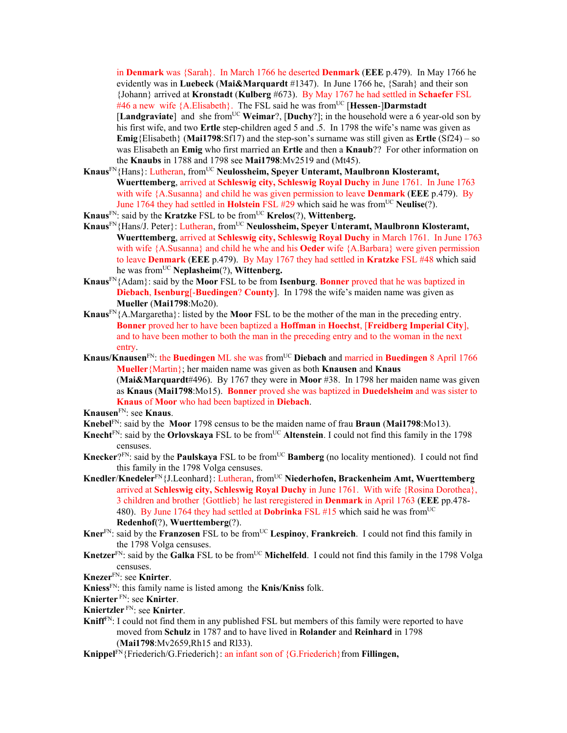in **Denmark** was {Sarah}. In March 1766 he deserted **Denmark** (**EEE** p.479). In May 1766 he evidently was in **Luebeck** (**Mai&Marquardt** #1347). In June 1766 he, {Sarah} and their son {Johann} arrived at **Kronstadt** (**Kulberg** #673). By May 1767 he had settled in **Schaefer** FSL #46 a new wife {A.Elisabeth}. The FSL said he was fromUC [**Hessen**-]**Darmstadt** [**Landgraviate**] and she fromUC **Weimar**?, [**Duchy**?]; in the household were a 6 year-old son by his first wife, and two **Ertle** step-children aged 5 and .5. In 1798 the wife's name was given as **Emig**{Elisabeth} (**Mai1798**:Sf17) and the step-son's surname was still given as **Ertle** (Sf24) – so was Elisabeth an **Emig** who first married an **Ertle** and then a **Knaub**?? For other information on the **Knaubs** in 1788 and 1798 see **Mai1798**:Mv2519 and (Mt45).

- **Knaus**FN{Hans}: Lutheran, fromUC **Neulossheim, Speyer Unteramt, Maulbronn Klosteramt, Wuerttemberg**, arrived at **Schleswig city, Schleswig Royal Duchy** in June 1761. In June 1763 with wife {A.Susanna} and child he was given permission to leave **Denmark** (**EEE** p.479). By June 1764 they had settled in **Holstein** FSL #29 which said he was from<sup>UC</sup> Neulise(?).
- **Knaus**FN: said by the **Kratzke** FSL to be fromUC **Krelos**(?), **Wittenberg.**
- Knaus<sup>FN</sup>{Hans/J. Peter}: Lutheran, from<sup>UC</sup> Neulossheim, Speyer Unteramt, Maulbronn Klosteramt, **Wuerttemberg**, arrived at **Schleswig city, Schleswig Royal Duchy** in March 1761. In June 1763 with wife {A.Susanna} and child he whe and his **Oeder** wife {A.Barbara} were given permission to leave **Denmark** (**EEE** p.479). By May 1767 they had settled in **Kratzke** FSL #48 which said he was fromUC **Neplasheim**(?), **Wittenberg.**
- **Knaus**FN{Adam}: said by the **Moor** FSL to be from **Isenburg**. **Bonner** proved that he was baptized in **Diebach**, **Isenburg**[-**Buedingen**? **County**]. In 1798 the wife's maiden name was given as **Mueller** (**Mai1798**:Mo20).
- **Knaus**FN{A.Margaretha}: listed by the **Moor** FSL to be the mother of the man in the preceding entry. **Bonner** proved her to have been baptized a **Hoffman** in **Hoechst**, [**Freidberg Imperial City**], and to have been mother to both the man in the preceding entry and to the woman in the next entry.
- **Knaus/Knausen**<sup>FN</sup>: the **Buedingen** ML she was from<sup>UC</sup> Diebach and married in Buedingen 8 April 1766 **Mueller**{Martin}; her maiden name was given as both **Knausen** and **Knaus** (**Mai&Marquardt**#496). By 1767 they were in **Moor** #38. In 1798 her maiden name was given as **Knaus** (**Mai1798**:Mo15). **Bonner** proved she was baptized in **Duedelsheim** and was sister to **Knaus** of **Moor** who had been baptized in **Diebach**.
- **Knausen**FN: see **Knaus**.
- **Knebel**FN: said by the **Moor** 1798 census to be the maiden name of frau **Braun** (**Mai1798**:Mo13).
- Knecht<sup>FN</sup>: said by the **Orlovskaya** FSL to be from<sup>UC</sup> Altenstein. I could not find this family in the 1798 censuses.
- **Knecker**?<sup>FN</sup>: said by the **Paulskaya** FSL to be from<sup>UC</sup> **Bamberg** (no locality mentioned). I could not find this family in the 1798 Volga censuses.
- **Knedler**/**Knedeler**FN{J.Leonhard}: Lutheran, fromUC **Niederhofen, Brackenheim Amt, Wuerttemberg** arrived at **Schleswig city, Schleswig Royal Duchy** in June 1761. With wife {Rosina Dorothea}, 3 children and brother {Gottlieb} he last reregistered in **Denmark** in April 1763 (**EEE** pp.478- 480). By June 1764 they had settled at **Dobrinka** FSL #15 which said he was from<sup>UC</sup> **Redenhof**(?), **Wuerttemberg**(?).
- **Kner**FN: said by the **Franzosen** FSL to be fromUC **Lespinoy**, **Frankreich**. I could not find this family in the 1798 Volga censuses.
- **Knetzer**<sup>FN</sup>: said by the **Galka** FSL to be from<sup>UC</sup> Michelfeld. I could not find this family in the 1798 Volga censuses.
- **Knezer**FN: see **Knirter**.
- **Kniess**FN: this family name is listed among the **Knis/Kniss** folk.
- **Knierter** FN: see **Knirter**.
- **Kniertzler** FN: see **Knirter**.
- **Kniff**<sup>FN</sup>: I could not find them in any published FSL but members of this family were reported to have moved from **Schulz** in 1787 and to have lived in **Rolander** and **Reinhard** in 1798 (**Mai1798**:Mv2659,Rh15 and Rl33).
- Knippel<sup>FN</sup>{Friederich/G.Friederich}: an infant son of {G.Friederich}from **Fillingen**,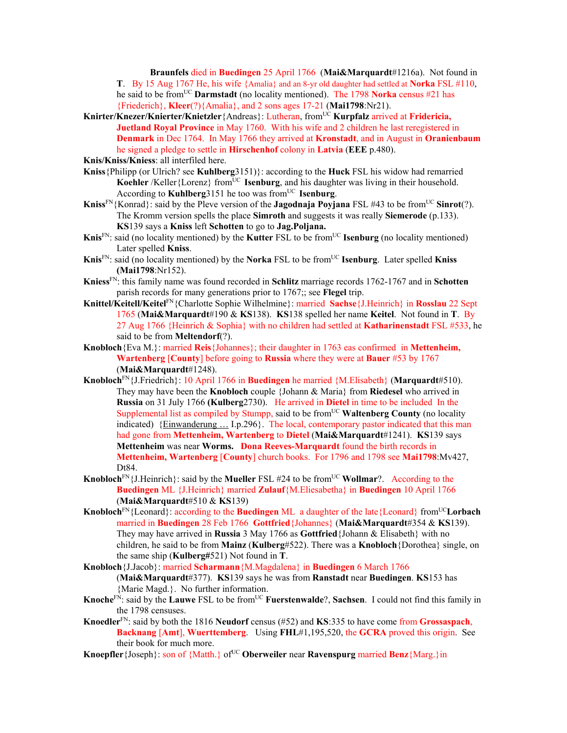**Braunfels** died in **Buedingen** 25 April 1766 (**Mai&Marquardt**#1216a). Not found in **T**. By 15 Aug 1767 He, his wife {Amalia} and an 8-yr old daughter had settled at **Norka** FSL #110, he said to be fromUC **Darmstadt** (no locality mentioned). The 1798 **Norka** census #21 has {Friederich}, **Kleer**(?){Amalia}, and 2 sons ages 17-21 (**Mai1798**:Nr21).

**Knirter/Knezer/Knierter/Knietzler**{Andreas}: Lutheran, fromUC **Kurpfalz** arrived at **Fridericia, Juetland Royal Province** in May 1760. With his wife and 2 children he last reregistered in **Denmark** in Dec 1764. In May 1766 they arrived at **Kronstadt**, and in August in **Oranienbaum** he signed a pledge to settle in **Hirschenhof** colony in **Latvia** (**EEE** p.480).

**Knis/Kniss/Kniess**: all interfiled here.

- **Kniss**{Philipp (or Ulrich? see **Kuhlberg**3151)}: according to the **Huck** FSL his widow had remarried Koehler /Keller {Lorenz} from<sup>UC</sup> **Isenburg**, and his daughter was living in their household. According to **Kuhlberg**3151 he too was from<sup>UC</sup> **Isenburg**.
- **Kniss**<sup>FN</sup>{Konrad}: said by the Pleve version of the **Jagodnaja Poyjana** FSL #43 to be from<sup>UC</sup> **Sinrot**(?). The Kromm version spells the place **Simroth** and suggests it was really **Siemerode** (p.133). **KS**139 says a **Kniss** left **Schotten** to go to **Jag.Poljana.**
- **Knis**<sup>FN</sup>: said (no locality mentioned) by the **Kutter** FSL to be from<sup>UC</sup> **Isenburg** (no locality mentioned) Later spelled **Kniss**.
- **Knis**<sup>FN</sup>: said (no locality mentioned) by the **Norka** FSL to be from<sup>UC</sup> **Isenburg**. Later spelled **Kniss (Mai1798**:Nr152).
- **Kniess**FN: this family name was found recorded in **Schlitz** marriage records 1762-1767 and in **Schotten** parish records for many generations prior to 1767;; see **Flegel** trip.
- **Knittel/Keitell/Keitel**FN{Charlotte Sophie Wilhelmine}: married **Sachse**{J.Heinrich} in **Rosslau** 22 Sept 1765 (**Mai&Marquardt**#190 & **KS**138). **KS**138 spelled her name **Keitel**. Not found in **T**. By 27 Aug 1766 {Heinrich & Sophia} with no children had settled at **Katharinenstadt** FSL #533, he said to be from **Meltendorf**(?).
- **Knobloch**{Eva M.}: married **Reis**{Johannes}; their daughter in 1763 eas confirmed in **Mettenheim, Wartenberg** [**County**] before going to **Russia** where they were at **Bauer** #53 by 1767 (**Mai&Marquardt**#1248).
- **Knobloch**FN{J.Friedrich}: 10 April 1766 in **Buedingen** he married {M.Elisabeth} (**Marquardt**#510). They may have been the **Knobloch** couple {Johann & Maria} from **Riedesel** who arrived in **Russia** on 31 July 1766 **(Kulberg**2730). He arrived in **Dietel** in time to be included In the Supplemental list as compiled by Stumpp, said to be from<sup>UC</sup> Waltenberg County (no locality indicated){Einwanderung … I.p.296}.The local, contemporary pastor indicated that this man had gone from **Mettenheim, Wartenberg** to **Dietel** (**Mai&Marquardt**#1241). **KS**139 says **Mettenheim** was near **Worms. Dona Reeves-Marquardt** found the birth records in **Mettenheim, Wartenberg** [**County**] church books. For 1796 and 1798 see **Mai1798**:Mv427, Dt84.
- **Knobloch**<sup>FN</sup>{J.Heinrich}: said by the **Mueller** FSL #24 to be from<sup>UC</sup> **Wollmar**?. According to the **Buedingen** ML {J.Heinrich} married **Zulauf**{M.Eliesabetha} in **Buedingen** 10 April 1766 (**Mai&Marquardt**#510 & **KS**139)
- **Knobloch**<sup>FN</sup>{Leonard}: according to the **Buedingen** ML a daughter of the late{Leonard} from<sup>UC</sup>**Lorbach** married in **Buedingen** 28 Feb 1766 **Gottfried**{Johannes} (**Mai&Marquardt**#354 & **KS**139). They may have arrived in **Russia** 3 May 1766 as **Gottfried**{Johann & Elisabeth} with no children, he said to be from **Mainz** (**Kulberg**#522). There was a **Knobloch**{Dorothea} single, on the same ship (**Kulberg#**521) Not found in **T**.
- **Knobloch**{J.Jacob}: married **Scharmann**{M.Magdalena} in **Buedingen** 6 March 1766 (**Mai&Marquardt**#377). **KS**139 says he was from **Ranstadt** near **Buedingen**. **KS**153 has {Marie Magd.}. No further information.
- **Knoche**FN: said by the **Lauwe** FSL to be fromUC **Fuerstenwalde**?, **Sachsen**. I could not find this family in the 1798 censuses.
- **Knoedler**FN: said by both the 1816 **Neudorf** census (#52) and **KS**:335 to have come from **Grossaspach**, **Backnang** [**Amt**], **Wuerttemberg**. Using **FHL**#1,195,520, the **GCRA** proved this origin. See their book for much more.
- **Knoepfler** {Joseph}: son of {Matth.} of<sup>UC</sup> Oberweiler near **Ravenspurg** married **Benz** {Marg.}in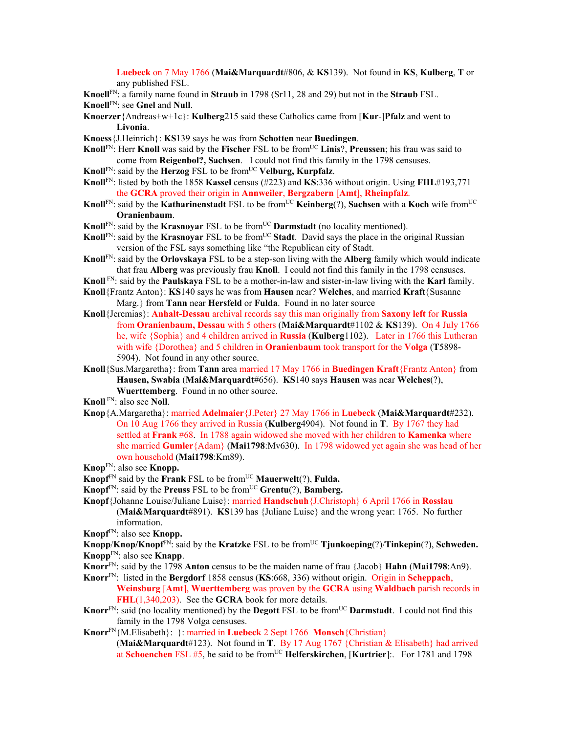**Luebeck** on 7 May 1766 (**Mai&Marquardt**#806, & **KS**139). Not found in **KS**, **Kulberg**, **T** or any published FSL.

**Knoell**FN: a family name found in **Straub** in 1798 (Sr11, 28 and 29) but not in the **Straub** FSL.

**Knoell**FN: see **Gnel** and **Null**.

- **Knoerzer**{Andreas+w+1c}: **Kulberg**215 said these Catholics came from [**Kur**-]**Pfalz** and went to **Livonia**.
- **Knoess**{J.Heinrich}: **KS**139 says he was from **Schotten** near **Buedingen**.
- **Knoll**FN: Herr **Knoll** was said by the **Fischer** FSL to be from<sup>UC</sup> Linis?, Preussen; his frau was said to come from **Reigenbol?, Sachsen**. I could not find this family in the 1798 censuses.
- **Knoll**FN: said by the **Herzog** FSL to be fromUC **Velburg, Kurpfalz**.
- **Knoll**FN: listed by both the 1858 **Kassel** census (#223) and **KS**:336 without origin. Using **FHL**#193,771 the **GCRA** proved their origin in **Annweiler**, **Bergzabern** [**Amt**], **Rheinpfalz**.
- **Knoll**<sup>FN</sup>: said by the **Katharinenstadt** FSL to be from<sup>UC</sup> **Keinberg**(?), **Sachsen** with a **Koch** wife from<sup>UC</sup> **Oranienbaum**.
- **Knoll**<sup>FN</sup>: said by the **Krasnoyar** FSL to be from<sup>UC</sup> **Darmstadt** (no locality mentioned).
- **Knoll**<sup>FN</sup>: said by the **Krasnoyar** FSL to be from<sup>UC</sup> **Stadt**. David says the place in the original Russian version of the FSL says something like "the Republican city of Stadt.
- **Knoll**FN: said by the **Orlovskaya** FSL to be a step-son living with the **Alberg** family which would indicate that frau **Alberg** was previously frau **Knoll**. I could not find this family in the 1798 censuses.
- **Knoll** FN: said by the **Paulskaya** FSL to be a mother-in-law and sister-in-law living with the **Karl** family.
- **Knoll**{Frantz Anton}: **KS**140 says he was from **Hausen** near? **Welches**, and married **Kraft**{Susanne Marg.} from **Tann** near **Hersfeld** or **Fulda**. Found in no later source
- **Knoll**{Jeremias}: **Anhalt-Dessau** archival records say this man originally from **Saxony left** for **Russia**  from **Oranienbaum, Dessau** with 5 others (**Mai&Marquardt**#1102 & **KS**139).On 4 July 1766 he, wife {Sophia} and 4 children arrived in **Russia** (**Kulberg**1102). Later in 1766 this Lutheran with wife {Dorothea} and 5 children in **Oranienbaum** took transport for the **Volga** (**T**5898- 5904). Not found in any other source.
- **Knoll**{Sus.Margaretha}: from **Tann** area married 17 May 1766 in **Buedingen Kraft**{Frantz Anton} from **Hausen, Swabia** (**Mai&Marquardt**#656). **KS**140 says **Hausen** was near **Welches**(?), **Wuerttemberg**. Found in no other source.

**Knoll** FN: also see **Noll**.

- **Knop**{A.Margaretha}: married **Adelmaier**{J.Peter} 27 May 1766 in **Luebeck** (**Mai&Marquardt**#232). On 10 Aug 1766 they arrived in Russia (**Kulberg**4904). Not found in **T**. By 1767 they had settled at **Frank** #68. In 1788 again widowed she moved with her children to **Kamenka** where she married **Gumler**{Adam} (**Mai1798**:Mv630). In 1798 widowed yet again she was head of her own household (**Mai1798**:Km89).
- **Knop**FN: also see **Knopp.**
- **Knopf** $F_N$  said by the **Frank** FSL to be from<sup>UC</sup> **Mauerwelt**(?), **Fulda.**
- **Knopf**FN: said by the **Preuss** FSL to be fromUC **Grentu**(?), **Bamberg.**
- **Knopf**{Johanne Louise/Juliane Luise}: married **Handschuh**{J.Christoph} 6 April 1766 in **Rosslau**  (**Mai&Marquardt**#891). **KS**139 has {Juliane Luise} and the wrong year: 1765. No further information.
- **Knopf**FN: also see **Knopp.**
- **Knopp/Knop/Knopf<sup>FN</sup>:** said by the **Kratzke** FSL to be from<sup>UC</sup> **Tjunkoeping**(?)/**Tinkepin**(?), **Schweden. Knopp**FN: also see **Knapp**.
- **Knorr**FN: said by the 1798 **Anton** census to be the maiden name of frau {Jacob} **Hahn** (**Mai1798**:An9).
- **Knorr**FN: listed in the **Bergdorf** 1858 census (**KS**:668, 336) without origin. Origin in **Scheppach**, **Weinsburg** [**Amt**], **Wuerttemberg** was proven by the **GCRA** using **Waldbach** parish records in **FHL**(1,340,203). See the **GCRA** book for more details.
- **Knorr**<sup>FN</sup>: said (no locality mentioned) by the **Degott** FSL to be from<sup>UC</sup> **Darmstadt**. I could not find this family in the 1798 Volga censuses.
- **Knorr**FN{M.Elisabeth}: }: married in **Luebeck** 2 Sept 1766 **Monsch**{Christian} (**Mai&Marquardt**#123). Not found in **T**. By 17 Aug 1767 {Christian & Elisabeth} had arrived at **Schoenchen** FSL #5, he said to be from<sup>UC</sup> **Helferskirchen**, [**Kurtrier**]:. For 1781 and 1798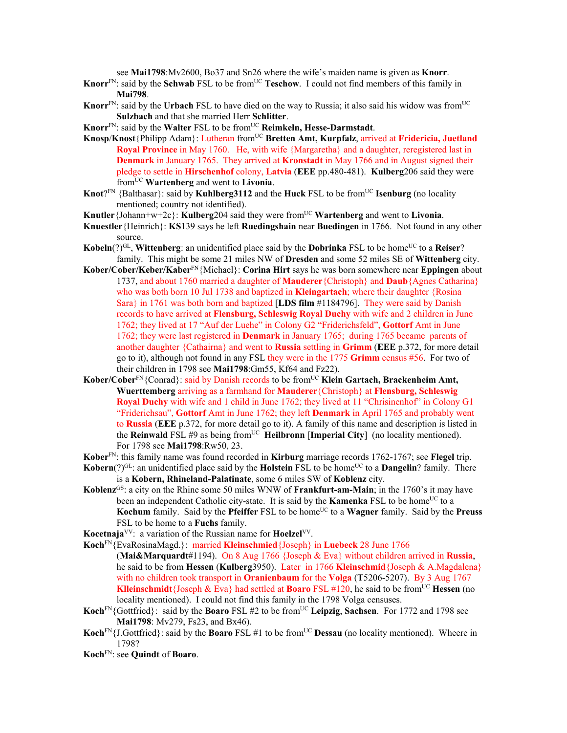see **Mai1798**:Mv2600, Bo37 and Sn26 where the wife's maiden name is given as **Knorr**.

- Knorr<sup>FN</sup>: said by the Schwab FSL to be from<sup>UC</sup> Teschow. I could not find members of this family in **Mai798**.
- **Knorr**<sup>FN</sup>: said by the **Urbach** FSL to have died on the way to Russia; it also said his widow was from<sup>UC</sup> **Sulzbach** and that she married Herr **Schlitter**.
- **Knorr**<sup>FN</sup>: said by the **Walter** FSL to be from<sup>UC</sup> **Reimkeln, Hesse-Darmstadt**.
- **Knosp/Knost**{Philipp Adam}: Lutheran from<sup>UC</sup> **Bretten Amt, Kurpfalz**, arrived at **Fridericia, Juetland Royal Province** in May 1760. He, with wife {Margaretha} and a daughter, reregistered last in **Denmark** in January 1765. They arrived at **Kronstadt** in May 1766 and in August signed their pledge to settle in **Hirschenhof** colony, **Latvia** (**EEE** pp.480-481). **Kulberg**206 said they were fromUC **Wartenberg** and went to **Livonia**.
- **Knot**?FN {Balthasar}: said by **Kuhlberg3112** and the **Huck** FSL to be from<sup>UC</sup> **Isenburg** (no locality mentioned; country not identified).
- **Knutler**{Johann+w+2c}: **Kulberg**204 said they were fromUC **Wartenberg** and went to **Livonia**.
- **Knuestler**{Heinrich}: **KS**139 says he left **Ruedingshain** near **Buedingen** in 1766. Not found in any other source.
- $\mathbf{Kobeln}(?)^{\text{GL}}$ , **Wittenberg**: an unidentified place said by the **Dobrinka** FSL to be home<sup>UC</sup> to a **Reiser**? family. This might be some 21 miles NW of **Dresden** and some 52 miles SE of **Wittenberg** city.
- **Kober/Cober/Keber/Kaber**FN{Michael}: **Corina Hirt** says he was born somewhere near **Eppingen** about 1737, and about 1760 married a daughter of **Mauderer**{Christoph} and **Daub**{Agnes Catharina} who was both born 10 Jul 1738 and baptized in **Kleingartach**; where their daughter {Rosina Sara} in 1761 was both born and baptized [**LDS film** #1184796]. They were said by Danish records to have arrived at **Flensburg, Schleswig Royal Duchy** with wife and 2 children in June 1762; they lived at 17 "Auf der Luehe" in Colony G2 "Friderichsfeld", **Gottorf** Amt in June 1762; they were last registered in **Denmark** in January 1765; during 1765 became parents of another daughter {Cathairna} and went to **Russia** settling in **Grimm** (**EEE** p.372, for more detail go to it), although not found in any FSL they were in the 1775 **Grimm** census #56. For two of their children in 1798 see **Mai1798**:Gm55, Kf64 and Fz22).
- Kober/Cober<sup>FN</sup>{Conrad}: said by Danish records to be from<sup>UC</sup> Klein Gartach, Brackenheim Amt, **Wuerttemberg** arriving as a farmhand for **Mauderer**{Christoph} at **Flensburg, Schleswig Royal Duchy** with wife and 1 child in June 1762; they lived at 11 "Chrisinenhof" in Colony G1 "Friderichsau", **Gottorf** Amt in June 1762; they left **Denmark** in April 1765 and probably went to **Russia** (**EEE** p.372, for more detail go to it). A family of this name and description is listed in the **Reinwald** FSL #9 as being from<sup>UC</sup> **Heilbronn** [Imperial City] (no locality mentioned). For 1798 see **Mai1798**:Rw50, 23.
- **Kober**FN: this family name was found recorded in **Kirburg** marriage records 1762-1767; see **Flegel** trip.
- **Kobern**( $?$ )<sup>GL</sup>: an unidentified place said by the **Holstein** FSL to be home<sup>UC</sup> to a **Dangelin**? family. There is a **Kobern, Rhineland-Palatinate**, some 6 miles SW of **Koblenz** city.
- **Koblenz**GS: a city on the Rhine some 50 miles WNW of **Frankfurt-am-Main**; in the 1760's it may have been an independent Catholic city-state. It is said by the **Kamenka** FSL to be home<sup>UC</sup> to a **Kochum** family. Said by the **Pfeiffer** FSL to be home<sup>UC</sup> to a **Wagner** family. Said by the **Preuss** FSL to be home to a **Fuchs** family.
- **Kocetnaja**VV: a variation of the Russian name for **Hoelzel**VV.
- **Koch**FN{EvaRosinaMagd.}: married **Kleinschmied**{Joseph} in **Luebeck** 28 June 1766 (**Mai&Marquardt**#1194). On 8 Aug 1766 {Joseph & Eva} without children arrived in **Russia**, he said to be from **Hessen** (**Kulberg**3950). Later in 1766 **Kleinschmid**{Joseph & A.Magdalena} with no children took transport in **Oranienbaum** for the **Volga** (**T**5206-5207). By 3 Aug 1767 **Klleinschmidt**{Joseph & Eva} had settled at **Boaro** FSL #120, he said to be from<sup>UC</sup> **Hessen** (no locality mentioned). I could not find this family in the 1798 Volga censuses.
- **Koch**FN{Gottfried}: said by the **Boaro** FSL #2 to be fromUC **Leipzig**, **Sachsen**. For 1772 and 1798 see **Mai1798**: Mv279, Fs23, and Bx46).
- **Koch**<sup>FN</sup>{J.Gottfried}: said by the **Boaro** FSL #1 to be from<sup>UC</sup> **Dessau** (no locality mentioned). Wheere in 1798?
- **Koch**FN: see **Quindt** of **Boaro**.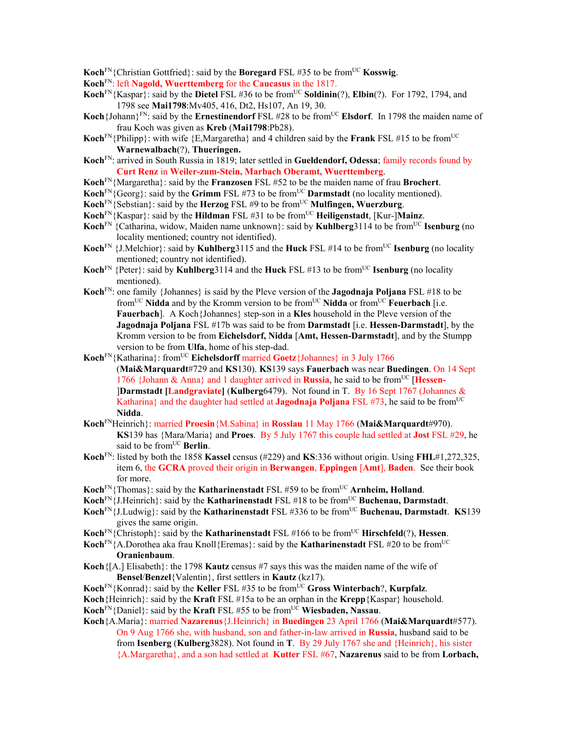**Koch**<sup>FN</sup>{Christian Gottfried}: said by the **Boregard** FSL #35 to be from<sup>UC</sup> **Kosswig**.

- **Koch**FN: left **Nagold, Wuerttemberg** for the **Caucasus** in the 1817.
- **Koch**FN{Kaspar}: said by the **Dietel** FSL #36 to be fromUC **Soldinin**(?), **Elbin**(?). For 1792, 1794, and 1798 see **Mai1798**:Mv405, 416, Dt2, Hs107, An 19, 30.
- Koch {Johann}<sup>FN</sup>: said by the **Ernestinendorf** FSL #28 to be from<sup>UC</sup> **Elsdorf**. In 1798 the maiden name of frau Koch was given as **Kreb** (**Mai1798**:Pb28).
- **Koch**<sup>FN</sup>{Philipp}: with wife {E,Margaretha} and 4 children said by the **Frank** FSL #15 to be from<sup>UC</sup> **Warnewalbach**(?), **Thueringen.**
- **Koch**FN: arrived in South Russia in 1819; later settled in **Gueldendorf, Odessa**; family records found by **Curt Renz** in **Weiler-zum-Stein, Marbach Oberamt, Wuerttemberg**.
- **Koch**FN{Margaretha}: said by the **Franzosen** FSL #52 to be the maiden name of frau **Brochert**.
- **Koch**<sup>FN</sup>{Georg}: said by the **Grimm** FSL #73 to be from<sup>UC</sup> **Darmstadt** (no locality mentioned).
- **Koch**<sup>FN</sup>{Sebstian}: said by the **Herzog** FSL #9 to be from<sup>UC</sup> **Mulfingen, Wuerzburg**.
- **Koch**<sup>FN</sup>{Kaspar}: said by the **Hildman** FSL #31 to be from<sup>UC</sup> **Heiligenstadt**, [Kur-]**Mainz**.
- **Koch**<sup>FN</sup> {Catharina, widow, Maiden name unknown}: said by **Kuhlberg**3114 to be from<sup>UC</sup> **Isenburg** (no locality mentioned; country not identified).
- **Koch**<sup>FN</sup> {J.Melchior}: said by **Kuhlberg**3115 and the **Huck** FSL #14 to be from<sup>UC</sup> **Isenburg** (no locality mentioned; country not identified).
- **Koch**<sup>FN</sup> {Peter}: said by **Kuhlberg**3114 and the **Huck** FSL #13 to be from<sup>UC</sup> **Isenburg** (no locality mentioned).
- **Koch**FN: one family {Johannes} is said by the Pleve version of the **Jagodnaja Poljana** FSL #18 to be fromUC **Nidda** and by the Kromm version to be fromUC **Nidda** or fromUC **Feuerbach** [i.e. **Fauerbach**]. A Koch {Johannes} step-son in a **Kles** household in the Pleve version of the **Jagodnaja Poljana** FSL #17b was said to be from **Darmstadt** [i.e. **Hessen-Darmstadt**], by the Kromm version to be from **Eichelsdorf, Nidda** [**Amt, Hessen-Darmstadt**], and by the Stumpp version to be from **Ulfa**, home of his step-dad.
- Koch<sup>FN</sup>{Katharina}: from<sup>UC</sup> **Eichelsdorff** married **Goetz**{Johannes} in 3 July 1766
	- (**Mai&Marquardt**#729 and **KS**130). **KS**139 says **Fauerbach** was near **Buedingen**. On 14 Sept 1766 {Johann & Anna} and 1 daughter arrived in **Russia**, he said to be fromUC [**Hessen-** ]**Darmstadt [Landgraviate]** (**Kulberg**6479). Not found in T. By 16 Sept 1767 (Johannes & Katharina} and the daughter had settled at **Jagodnaja Poljana** FSL  $\#73$ , he said to be from<sup>UC</sup> **Nidda**.
- **Koch**FNHeinrich}: married **Proesin**{M.Sabina} in **Rosslau** 11 May 1766 (**Mai&Marquardt**#970). **KS**139 has {Mara/Maria} and **Proes**. By 5 July 1767 this couple had settled at **Jost** FSL #29, he said to be from<sup>UC</sup> Berlin.
- **Koch**FN: listed by both the 1858 **Kassel** census (#229) and **KS**:336 without origin. Using **FHL**#1,272,325, item 6, the **GCRA** proved their origin in **Berwangen**, **Eppingen** [**Amt**], **Baden**. See their book for more.
- **Koch**<sup>FN</sup>{Thomas}: said by the **Katharinenstadt** FSL #59 to be from<sup>UC</sup> **Arnheim, Holland**.
- **Koch**FN{J.Heinrich}: said by the **Katharinenstadt** FSL #18 to be fromUC **Buchenau, Darmstadt**.
- **Koch**FN{J.Ludwig}: said by the **Katharinenstadt** FSL #336 to be fromUC **Buchenau, Darmstadt**. **KS**139 gives the same origin.
- **Koch**<sup>FN</sup>{Christoph}: said by the **Katharinenstadt** FSL #166 to be from<sup>UC</sup> **Hirschfeld**(?), **Hessen**.
- **Koch**<sup>FN</sup>{A.Dorothea aka frau Knoll{Eremas}: said by the **Katharinenstadt** FSL #20 to be from<sup>UC</sup> **Oranienbaum**.
- **Koch**{[A.] Elisabeth}: the 1798 **Kautz** census #7 says this was the maiden name of the wife of **Bensel**/**Benzel**{Valentin}, first settlers in **Kautz** (kz17).
- **Koch**<sup>FN</sup>{Konrad}: said by the **Keller** FSL #35 to be from<sup>UC</sup> Gross Winterbach?, **Kurpfalz**.
- **Koch**{Heinrich}: said by the **Kraft** FSL #15a to be an orphan in the **Krepp**{Kaspar} household.
- **Koch**<sup>FN</sup>{Daniel}: said by the **Kraft** FSL #55 to be from<sup>UC</sup> **Wiesbaden, Nassau**.
- **Koch**{A.Maria}: married **Nazarenus**{J.Heinrich} in **Buedingen** 23 April 1766 (**Mai&Marquardt**#577). On 9 Aug 1766 she, with husband, son and father-in-law arrived in **Russia**, husband said to be from **Isenberg** (**Kulberg**3828). Not found in **T**. By 29 July 1767 she and {Heinrich}, his sister {A.Margaretha}, and a son had settled at **Kutter** FSL #67, **Nazarenus** said to be from **Lorbach,**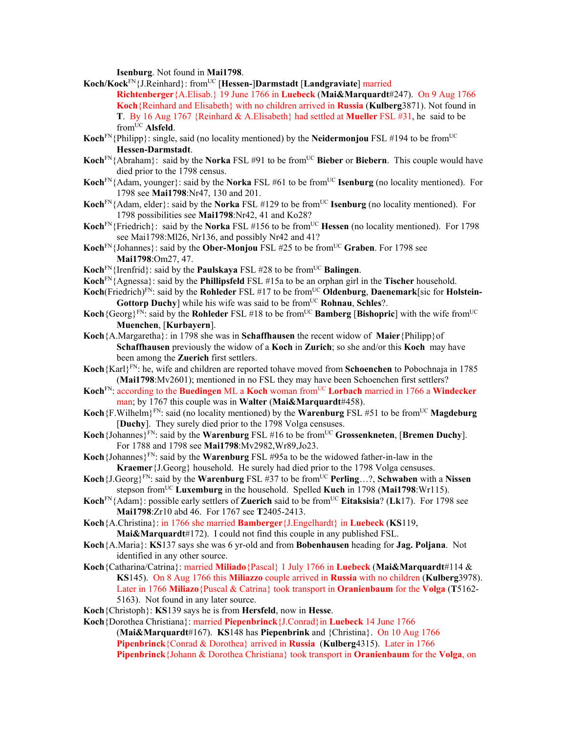**Isenburg**. Not found in **Mai1798**.

- **Koch/Kock**FN{J.Reinhard}: fromUC [**Hessen-**]**Darmstadt** [**Landgraviate**] married **Richtenberger**{A.Elisab.} 19 June 1766 in **Luebeck** (**Mai&Marquardt**#247). On 9 Aug 1766 **Koch**{Reinhard and Elisabeth} with no children arrived in **Russia** (**Kulberg**3871). Not found in **T**. By 16 Aug 1767 {Reinhard & A.Elisabeth} had settled at **Mueller** FSL #31, he said to be fromUC **Alsfeld**.
- **Koch**<sup>FN</sup>{Philipp}: single, said (no locality mentioned) by the **Neidermonjou** FSL #194 to be from<sup>UC</sup> **Hessen-Darmstadt**.
- Koch<sup>FN</sup>{Abraham}: said by the **Norka** FSL #91 to be from<sup>UC</sup> Bieber or Biebern. This couple would have died prior to the 1798 census.
- **Koch**<sup>FN</sup>{Adam, younger}: said by the **Norka** FSL #61 to be from<sup>UC</sup> **Isenburg** (no locality mentioned). For 1798 see **Mai1798**:Nr47, 130 and 201.
- **Koch**<sup>FN</sup>{Adam, elder}: said by the **Norka** FSL #129 to be from<sup>UC</sup> **Isenburg** (no locality mentioned). For 1798 possibilities see **Mai1798**:Nr42, 41 and Ko28?
- **Koch**<sup>FN</sup>{Friedrich}: said by the **Norka** FSL #156 to be from<sup>UC</sup> **Hessen** (no locality mentioned). For 1798 see Mai1798:Ml26, Nr136, and possibly Nr42 and 41?
- Koch<sup>FN</sup>{Johannes}: said by the **Ober-Monjou** FSL #25 to be from<sup>UC</sup> Graben. For 1798 see **Mai1798**:Om27, 47.
- **Koch**<sup>FN</sup>{Irenfrid}: said by the **Paulskaya** FSL #28 to be from<sup>UC</sup> **Balingen**.
- **Koch**FN{Agnessa}: said by the **Phillipsfeld** FSL #15a to be an orphan girl in the **Tischer** household.
- **Koch**(Friedrich)<sup>FN</sup>: said by the **Rohleder** FSL #17 to be from<sup>UC</sup> **Oldenburg, Daenemark**[sic for **Holstein-Gottorp Duchy**] while his wife was said to be from<sup>UC</sup> **Rohnau**, **Schles**?.
- **Koch**{Georg}<sup>FN</sup>: said by the **Rohleder** FSL #18 to be from<sup>UC</sup> **Bamberg** [Bishopric] with the wife from<sup>UC</sup> **Muenchen**, [**Kurbayern**].
- **Koch**{A.Margaretha}: in 1798 she was in **Schaffhausen** the recent widow of **Maier**{Philipp}of **Schaffhausen** previously the widow of a **Koch** in **Zurich**; so she and/or this **Koch** may have been among the **Zuerich** first settlers.
- **Koch**{Karl}FN: he, wife and children are reported tohave moved from **Schoenchen** to Pobochnaja in 1785 (**Mai1798**:Mv2601); mentioned in no FSL they may have been Schoenchen first settlers?
- **Koch**FN: according to the **Buedingen** ML a **Koch** woman fromUC **Lorbach** married in 1766 a **Windecker** man; by 1767 this couple was in **Walter** (**Mai&Marquardt**#458).
- **Koch**{F.Wilhelm}<sup>FN</sup>: said (no locality mentioned) by the **Warenburg** FSL #51 to be from<sup>UC</sup> **Magdeburg** [**Duchy**]. They surely died prior to the 1798 Volga censuses.
- **Koch**{Johannes}FN: said by the **Warenburg** FSL #16 to be fromUC **Grossenkneten**, [**Bremen Duchy**]. For 1788 and 1798 see **Mai1798**:Mv2982,Wr89,Jo23.
- **Koch**{Johannes}<sup>FN</sup>: said by the **Warenburg** FSL #95a to be the widowed father-in-law in the **Kraemer**{J.Georg} household. He surely had died prior to the 1798 Volga censuses.
- **Koch**{ $J.Georg$ <sup>*FN*</sup>: said by the **Warenburg** FSL #37 to be from<sup>UC</sup> **Perling...?, Schwaben** with a **Nissen** stepson fromUC **Luxemburg** in the household. Spelled **Kuch** in 1798 (**Mai1798**:Wr115).
- **Koch**<sup>FN</sup>{Adam}: possible early settlers of **Zuerich** said to be from<sup>UC</sup> **Eitaksisia**? (**Lk**17). For 1798 see **Mai1798**:Zr10 abd 46. For 1767 see **T**2405-2413.
- **Koch**{A.Christina}: in 1766 she married **Bamberger**{J.Engelhardt} in **Luebeck** (**KS**119, **Mai&Marquardt**#172). I could not find this couple in any published FSL.
- **Koch**{A.Maria}: **KS**137 says she was 6 yr-old and from **Bobenhausen** heading for **Jag. Poljana**. Not identified in any other source.
- **Koch**{Catharina/Catrina}: married **Miliado**{Pascal} 1 July 1766 in **Luebeck** (**Mai&Marquardt**#114 & **KS**145). On 8 Aug 1766 this **Miliazzo** couple arrived in **Russia** with no children (**Kulberg**3978). Later in 1766 **Miliazo**{Puscal & Catrina} took transport in **Oranienbaum** for the **Volga** (**T**5162- 5163). Not found in any later source.
- **Koch**{Christoph}: **KS**139 says he is from **Hersfeld**, now in **Hesse**.
- **Koch**{Dorothea Christiana}: married **Piepenbrinck**{J.Conrad}in **Luebeck** 14 June 1766
	- (**Mai&Marquardt**#167). **KS**148 has **Piepenbrink** and {Christina}. On 10 Aug 1766 **Pipenbrinck**{Conrad & Dorothea} arrived in **Russia** (**Kulberg**4315). Later in 1766 **Pipenbrinck**{Johann & Dorothea Christiana} took transport in **Oranienbaum** for the **Volga**, on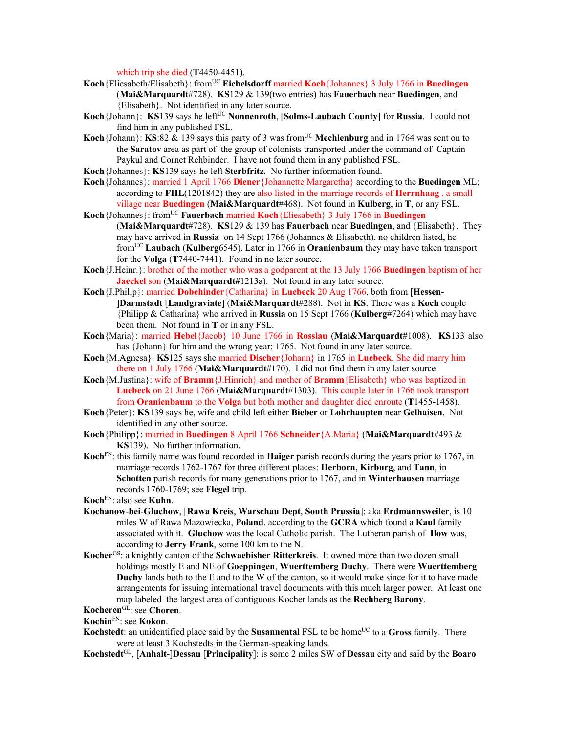which trip she died (**T**4450-4451).

- Koch {Eliesabeth/Elisabeth}: from<sup>UC</sup> **Eichelsdorff** married **Koch** {Johannes} 3 July 1766 in **Buedingen** (**Mai&Marquardt**#728). **KS**129 & 139(two entries) has **Fauerbach** near **Buedingen**, and {Elisabeth}. Not identified in any later source.
- **Koch**{Johann}: **KS**139 says he left<sup>UC</sup> **Nonnenroth**, [Solms-Laubach County] for Russia. I could not find him in any published FSL.
- **Koch**{Johann}: **KS**:82 & 139 says this party of 3 was from<sup>UC</sup> Mechlenburg and in 1764 was sent on to the **Saratov** area as part of the group of colonists transported under the command of Captain Paykul and Cornet Rehbinder. I have not found them in any published FSL.
- **Koch**{Johannes}: **KS**139 says he left **Sterbfritz**. No further information found.
- **Koch**{Johannes}: married 1 April 1766 **Diener**{Johannette Margaretha} according to the **Buedingen** ML; according to **FHL**(1201842) they are also listed in the marriage records of **Herrnhaag** , a small village near **Buedingen** (**Mai&Marquardt**#468). Not found in **Kulberg**, in **T**, or any FSL.
- Koch {Johannes}: from<sup>UC</sup> **Fauerbach married Koch** {Eliesabeth} 3 July 1766 in **Buedingen** (**Mai&Marquardt**#728). **KS**129 & 139 has **Fauerbach** near **Buedingen**, and {Elisabeth}. They may have arrived in **Russia** on 14 Sept 1766 (Johannes & Elisabeth), no children listed, he fromUC **Laubach** (**Kulberg**6545). Later in 1766 in **Oranienbaum** they may have taken transport for the **Volga** (**T**7440-7441). Found in no later source.
- **Koch**{J.Heinr.}: brother of the mother who was a godparent at the 13 July 1766 **Buedingen** baptism of her **Jaeckel** son (**Mai&Marquardt#**1213a). Not found in any later source.
- **Koch**{J.Philip}: married **Dobehinder**{Catharina} in **Luebeck** 20 Aug 1766, both from [**Hessen** ]**Darmstadt** [**Landgraviate**] (**Mai&Marquardt**#288). Not in **KS**. There was a **Koch** couple {Philipp & Catharina} who arrived in **Russia** on 15 Sept 1766 (**Kulberg**#7264) which may have been them. Not found in **T** or in any FSL.
- **Koch**{Maria}: married **Hebel**{Jacob} 10 June 1766 in **Rosslau** (**Mai&Marquardt**#1008). **KS**133 also has {Johann} for him and the wrong year: 1765. Not found in any later source.
- **Koch**{M.Agnesa}: **KS**125 says she married **Discher**{Johann} in 1765 in **Luebeck**. She did marry him there on 1 July 1766 (**Mai&Marquardt**#170). I did not find them in any later source
- **Koch**{M.Justina}: wife of **Bramm**{J.Hinrich} and mother of **Bramm**{Elisabeth} who was baptized in **Luebeck** on 21 June 1766 (**Mai&Marquardt**#1303). This couple later in 1766 took transport from **Oranienbaum** to the **Volga** but both mother and daughter died enroute (**T**1455-1458).
- **Koch**{Peter}: **KS**139 says he, wife and child left either **Bieber** or **Lohrhaupten** near **Gelhaisen**. Not identified in any other source.
- **Koch**{Philipp}: married in **Buedingen** 8 April 1766 **Schneider**{A.Maria} (**Mai&Marquardt**#493 & **KS**139). No further information.
- **Koch**FN: this family name was found recorded in **Haiger** parish records during the years prior to 1767, in marriage records 1762-1767 for three different places: **Herborn**, **Kirburg**, and **Tann**, in **Schotten** parish records for many generations prior to 1767, and in **Winterhausen** marriage records 1760-1769; see **Flegel** trip.
- **Koch**FN: also see **Kuhn**.
- **Kochanow**-**bei**-**Gluchow**, [**Rawa Kreis**, **Warschau Dept**, **South Prussia**]: aka **Erdmannsweiler**, is 10 miles W of Rawa Mazowiecka, **Poland**. according to the **GCRA** which found a **Kaul** family associated with it. **Gluchow** was the local Catholic parish. The Lutheran parish of **Ilow** was, according to **Jerry Frank**, some 100 km to the N.
- **Kocher**GS: a knightly canton of the **Schwaebisher Ritterkreis**. It owned more than two dozen small holdings mostly E and NE of **Goeppingen**, **Wuerttemberg Duchy**. There were **Wuerttemberg Duchy** lands both to the E and to the W of the canton, so it would make since for it to have made arrangements for issuing international travel documents with this much larger power. At least one map labeled the largest area of contiguous Kocher lands as the **Rechberg Barony**.

## **Kocheren**GL: see **Choren**.

**Kochin**FN: see **Kokon**.

- **Kochstedt**: an unidentified place said by the **Susannental** FSL to be home<sup>UC</sup> to a **Gross** family. There were at least 3 Kochstedts in the German-speaking lands.
- **Kochstedt**GL, [**Anhalt**-]**Dessau** [**Principality**]: is some 2 miles SW of **Dessau** city and said by the **Boaro**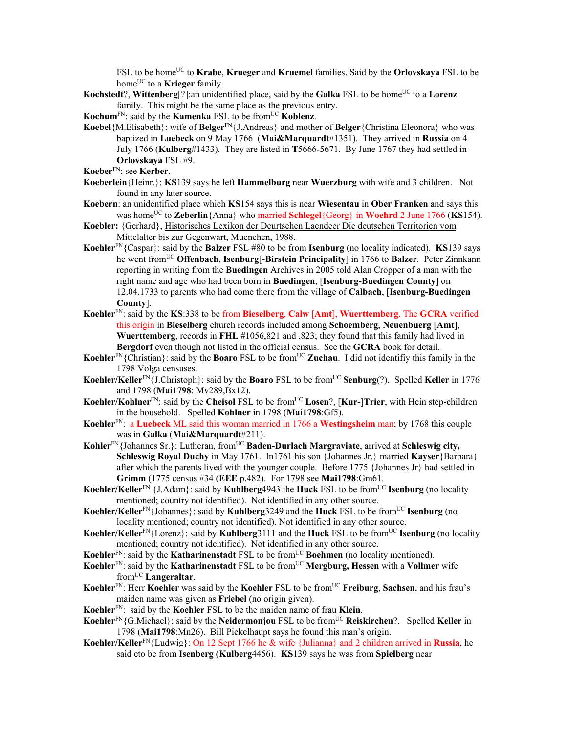FSL to be home<sup>UC</sup> to **Krabe**, **Krueger** and **Kruemel** families. Said by the **Orlovskaya** FSL to be home<sup>UC</sup> to a **Krieger** family.

- **Kochstedt**?, **Wittenberg**<sup>[?]</sup>:an unidentified place, said by the **Galka** FSL to be home<sup>UC</sup> to a **Lorenz** family. This might be the same place as the previous entry.
- **Kochum**<sup>FN</sup>: said by the **Kamenka** FSL to be from<sup>UC</sup> **Koblenz**.
- **Koebel**{M.Elisabeth}: wife of **Belger**<sup>FN</sup>{J.Andreas} and mother of **Belger**{Christina Eleonora} who was baptized in **Luebeck** on 9 May 1766 (**Mai&Marquardt**#1351). They arrived in **Russia** on 4 July 1766 (**Kulberg**#1433). They are listed in **T**5666-5671. By June 1767 they had settled in **Orlovskaya** FSL #9.
- **Koeber**FN: see **Kerber**.
- **Koeberlein**{Heinr.}: **KS**139 says he left **Hammelburg** near **Wuerzburg** with wife and 3 children. Not found in any later source.
- **Koebern**: an unidentified place which **KS**154 says this is near **Wiesentau** in **Ober Franken** and says this was homeUC to **Zeberlin**{Anna} who married **Schlegel**{Georg} in **Woehrd** 2 June 1766 (**KS**154).
- **Koebler:** {Gerhard}, Historisches Lexikon der Deurtschen Laendeer Die deutschen Territorien vom Mittelalter bis zur Gegenwart, Muenchen, 1988.
- **Koehler**FN{Caspar}: said by the **Balzer** FSL #80 to be from **Isenburg** (no locality indicated). **KS**139 says he went fromUC **Offenbach**, **Isenburg**[-**Birstein Principality**] in 1766 to **Balzer**. Peter Zinnkann reporting in writing from the **Buedingen** Archives in 2005 told Alan Cropper of a man with the right name and age who had been born in **Buedingen**, [**Isenburg-Buedingen County**] on 12.04.1733 to parents who had come there from the village of **Calbach**, [**Isenburg-Buedingen County**].
- **Koehler**FN: said by the **KS**:338 to be from **Bieselberg**, **Calw** [**Amt**], **Wuerttemberg**. The **GCRA** verified this origin in **Bieselberg** church records included among **Schoemberg**, **Neuenbuerg** [**Amt**], **Wuerttemberg**, records in **FHL** #1056,821 and ,823; they found that this family had lived in **Bergdorf** even though not listed in the official census. See the **GCRA** book for detail.
- **Koehler**<sup>FN</sup>{Christian}: said by the **Boaro** FSL to be from<sup>UC</sup> **Zuchau**. I did not identify this family in the 1798 Volga censuses.
- **Koehler/Keller**<sup>FN</sup>{J.Christoph}: said by the **Boaro** FSL to be from<sup>UC</sup> **Senburg**(?). Spelled **Keller** in 1776 and 1798 (**Mai1798**: Mv289,Bx12).
- **Koehler/Kohlner**FN: said by the **Cheisol** FSL to be fromUC **Losen**?, [**Kur-**]**Trier**, with Hein step-children in the household. Spelled **Kohlner** in 1798 (**Mai1798**:Gf5).
- **Koehler**FN: a **Luebeck** ML said this woman married in 1766 a **Westingsheim** man; by 1768 this couple was in **Galka** (**Mai&Marquardt**#211).
- Kohler<sup>FN</sup>{Johannes Sr.}: Lutheran, from<sup>UC</sup> Baden-Durlach Margraviate, arrived at Schleswig city, **Schleswig Royal Duchy** in May 1761. In1761 his son {Johannes Jr.} married **Kayser**{Barbara} after which the parents lived with the younger couple. Before 1775 {Johannes Jr} had settled in **Grimm** (1775 census #34 (**EEE** p.482). For 1798 see **Mai1798**:Gm61.
- **Koehler/Keller**<sup>FN</sup> {J.Adam}: said by **Kuhlberg**4943 the **Huck** FSL to be from<sup>UC</sup> **Isenburg** (no locality mentioned; country not identified). Not identified in any other source.
- **Koehler/Keller**<sup>FN</sup>{Johannes}: said by **Kuhlberg**3249 and the **Huck** FSL to be from<sup>UC</sup> **Isenburg** (no locality mentioned; country not identified). Not identified in any other source.
- **Koehler/Keller<sup>FN</sup>**{Lorenz}: said by **Kuhlberg**3111 and the **Huck** FSL to be from<sup>UC</sup> **Isenburg** (no locality mentioned; country not identified). Not identified in any other source.
- **Koehler**<sup>FN</sup>: said by the **Katharinenstadt** FSL to be from<sup>UC</sup> **Boehmen** (no locality mentioned).
- **Koehler**FN: said by the **Katharinenstadt** FSL to be fromUC **Mergburg, Hessen** with a **Vollmer** wife fromUC **Langeraltar**.
- **Koehler**<sup>FN</sup>: Herr **Koehler** was said by the **Koehler** FSL to be from<sup>UC</sup> **Freiburg**, **Sachsen**, and his frau's maiden name was given as **Friebel** (no origin given).
- **Koehler**FN: said by the **Koehler** FSL to be the maiden name of frau **Klein**.
- **Koehler**<sup>FN</sup>{G.Michael}: said by the **Neidermonjou** FSL to be from<sup>UC</sup> **Reiskirchen**?. Spelled **Keller** in 1798 (**Mai1798**:Mn26). Bill Pickelhaupt says he found this man's origin.
- **Koehler/Keller**FN{Ludwig}: On 12 Sept 1766 he & wife {Julianna} and 2 children arrived in **Russia**, he said eto be from **Isenberg** (**Kulberg**4456). **KS**139 says he was from **Spielberg** near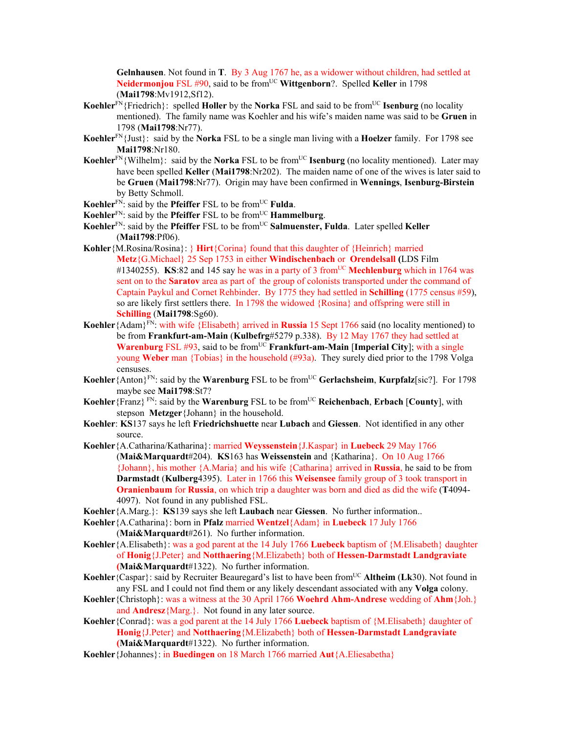**Gelnhausen**. Not found in **T**. By 3 Aug 1767 he, as a widower without children, had settled at **Neidermonjou** FSL #90, said to be from<sup>UC</sup> Wittgenborn?. Spelled Keller in 1798 (**Mai1798**:Mv1912,Sf12).

- **Koehler**<sup>FN</sup>{Friedrich}: spelled **Holler** by the **Norka** FSL and said to be from<sup>UC</sup> **Isenburg** (no locality mentioned). The family name was Koehler and his wife's maiden name was said to be **Gruen** in 1798 (**Mai1798**:Nr77).
- **Koehler**FN{Just}: said by the **Norka** FSL to be a single man living with a **Hoelzer** family. For 1798 see **Mai1798**:Nr180.
- **Koehler**<sup>FN</sup>{Wilhelm}: said by the **Norka** FSL to be from<sup>UC</sup> **Isenburg** (no locality mentioned). Later may have been spelled **Keller** (**Mai1798**:Nr202). The maiden name of one of the wives is later said to be **Gruen** (**Mai1798**:Nr77). Origin may have been confirmed in **Wennings**, **Isenburg-Birstein** by Betty Schmoll.
- **Koehler**FN: said by the **Pfeiffer** FSL to be fromUC **Fulda**.
- **Koehler**<sup>FN</sup>: said by the **Pfeiffer** FSL to be from<sup>UC</sup> **Hammelburg**.
- **Koehler**<sup>FN</sup>: said by the **Pfeiffer** FSL to be from<sup>UC</sup> **Salmuenster, Fulda**. Later spelled **Keller** (**Mai1798**:Pf06).
- **Kohler**{M.Rosina/Rosina}: } **Hirt**{Corina} found that this daughter of {Heinrich} married **Metz**{G.Michael} 25 Sep 1753 in either **Windischenbach** or **Orendelsall (**LDS Film #1340255). **KS**:82 and 145 say he was in a party of 3 from<sup>UC</sup> Mechlenburg which in 1764 was sent on to the **Saratov** area as part of the group of colonists transported under the command of Captain Paykul and Cornet Rehbinder. By 1775 they had settled in **Schilling** (1775 census #59), so are likely first settlers there. In 1798 the widowed {Rosina} and offspring were still in **Schilling** (**Mai1798**:Sg60).
- **Koehler**{Adam}FN: with wife {Elisabeth} arrived in **Russia** 15 Sept 1766 said (no locality mentioned) to be from **Frankfurt-am-Main** (**Kulbefrg**#5279 p.338). By 12 May 1767 they had settled at **Warenburg** FSL #93, said to be from<sup>UC</sup> **Frankfurt-am-Main** [Imperial City]; with a single young **Weber** man {Tobias} in the household (#93a). They surely died prior to the 1798 Volga censuses.
- **Koehler**{Anton}FN: said by the **Warenburg** FSL to be fromUC **Gerlachsheim**, **Kurpfalz**[sic?]. For 1798 maybe see **Mai1798**:St7?
- **Koehler**{Franz}<sup>FN</sup>: said by the **Warenburg** FSL to be from<sup>UC</sup> **Reichenbach**, **Erbach** [County], with stepson **Metzger**{Johann} in the household.
- **Koehler**: **KS**137 says he left **Friedrichshuette** near **Lubach** and **Giessen**. Not identified in any other source.
- **Koehler**{A.Catharina/Katharina}: married **Weyssenstein**{J.Kaspar} in **Luebeck** 29 May 1766 (**Mai&Marquardt**#204). **KS**163 has **Weissenstein** and {Katharina}. On 10 Aug 1766 {Johann}, his mother {A.Maria} and his wife {Catharina} arrived in **Russia**, he said to be from **Darmstadt** (**Kulberg**4395). Later in 1766 this **Weisensee** family group of 3 took transport in **Oranienbaum** for **Russia**, on which trip a daughter was born and died as did the wife (**T**4094- 4097). Not found in any published FSL.
- **Koehler**{A.Marg.}: **KS**139 says she left **Laubach** near **Giessen**. No further information..
- **Koehler**{A.Catharina}: born in **Pfalz** married **Wentzel**{Adam} in **Luebeck** 17 July 1766 (**Mai&Marquardt**#261). No further information.
- **Koehler**{A.Elisabeth}: was a god parent at the 14 July 1766 **Luebeck** baptism of {M.Elisabeth} daughter of **Honig**{J.Peter} and **Notthaering**{M.Elizabeth} both of **Hessen-Darmstadt Landgraviate (Mai&Marquardt**#1322). No further information.
- **Koehler**{Caspar}: said by Recruiter Beauregard's list to have been fromUC **Altheim** (**Lk**30). Not found in any FSL and I could not find them or any likely descendant associated with any **Volga** colony.
- **Koehler**{Christoph}: was a witness at the 30 April 1766 **Woehrd Ahm-Andrese** wedding of **Ahm**{Joh.} and **Andresz**{Marg.}. Not found in any later source.
- **Koehler**{Conrad}: was a god parent at the 14 July 1766 **Luebeck** baptism of {M.Elisabeth} daughter of **Honig**{J.Peter} and **Notthaering**{M.Elizabeth} both of **Hessen-Darmstadt Landgraviate (Mai&Marquardt**#1322). No further information.
- **Koehler**{Johannes}: in **Buedingen** on 18 March 1766 married **Aut**{A.Eliesabetha}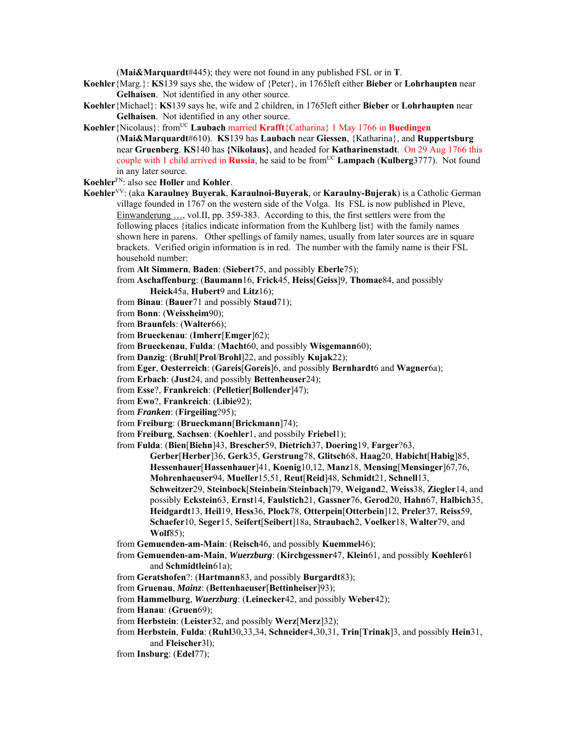(**Mai&Marquardt**#445); they were not found in any published FSL or in **T**.

**Koehler**{Marg.}: **KS**139 says she, the widow of {Peter}, in 1765left either **Bieber** or **Lohrhaupten** near **Gelhaisen**. Not identified in any other source.

- **Koehler**{Michael}: **KS**139 says he, wife and 2 children, in 1765left either **Bieber** or **Lohrhaupten** near **Gelhaisen**. Not identified in any other source.
- Koehler {Nicolaus}: from<sup>UC</sup> Laubach married Krafft {Catharina} 1 May 1766 in Buedingen (**Mai&Marquardt**#610). **KS**139 has **Laubach** near **Giessen**, {Katharina}, and **Ruppertsburg**  near **Gruenberg**. **KS**140 has **{Nikolaus}**, and headed for **Katharinenstadt**. On 29 Aug 1766 this couple with 1 child arrived in **Russia**, he said to be from<sup>UC</sup> **Lampach (Kulberg**3777). Not found in any later source.
- **Koehler**FN: also see **Holler** and **Kohler**.
- **Koehler**VV: (aka **Karaulney Buyerak**, **Karaulnoi-Buyerak**, or **Karaulny-Bujerak**) is a Catholic German village founded in 1767 on the western side of the Volga. Its FSL is now published in Pleve, Einwanderung …, vol.II, pp. 359-383. According to this, the first settlers were from the following places {italics indicate information from the Kuhlberg list} with the family names shown here in parens. Other spellings of family names, usually from later sources are in square brackets. Verified origin information is in red. The number with the family name is their FSL household number:
	- from **Alt Simmern**, **Baden**: (**Siebert**75, and possibly **Eberle**75);
	- from **Aschaffenburg**: (**Baumann**16, **Frick**45, **Heiss**[**Geiss**]9, **Thomae**84, and possibly **Heick**45a, **Hubert**9 and **Litz**16);
	- from **Binau**: (**Bauer**71 and possibly **Staud**71);
	- from **Bonn**: (**Weissheim**90);
	- from **Braunfels**: (**Walter**66);
	- from **Brueckenau**: (**Imherr**[**Emger**]62);
	- from **Brueckenau**, **Fulda**: (**Macht**60, and possibly **Wisgemann**60);
	- from **Danzig**: (**Bruhl**[**Prol**/**Brohl**]22, and possibly **Kujak**22);
	- from **Eger**, **Oesterreich**: (**Gareis**[**Goreis**]6, and possibly **Bernhardt**6 and **Wagner**6a);
	- from **Erbach**: (**Just**24, and possibly **Bettenheuser**24);
	- from **Esse**?, **Frankreich**: (**Pelletier**[**Bollender**]47);
	- from **Ewo**?, **Frankreich**: (**Libie**92);
	- from *Franken*: (**Firgeiling**?95);
	- from **Freiburg**: (**Brueckmann**[**Brickmann**]74);
	- from **Freiburg**, **Sachsen**: (**Koehler**1, and possbily **Friebel**1);

from **Fulda**: (**Bien**[**Biehn**]43, **Brescher**59, **Dietrich**37, **Doering**19, **Farger**?63,

- **Gerber**[**Herber**]36, **Gerk**35, **Gerstrung**78, **Glitsch**68, **Haag**20, **Habicht**[**Habig**]85, **Hessenhauer**[**Hassenhauer**]41, **Koenig**10,12, **Manz**18, **Mensing**[**Mensinger**]67,76, **Mohrenhaeuser**94, **Mueller**15,51, **Reut**[**Reid**]48, **Schmidt**21, **Schnell**13, **Schweitzer**29, **Steinbock**[**Steinbein**/**Steinbach**]79, **Weigand**2, **Weiss**38, **Ziegler**14, and possibly **Eckstein**63, **Ernst**14, **Faulstich**21, **Gassner**76, **Gerod**20, **Hahn**67, **Halbich**35, **Heidgardt**13, **Heil**19, **Hess**36, **Plock**78, **Otterpein**[**Otterbein**]12, **Preler**37, **Reiss**59, **Schaefer**10, **Seger**15, **Seifert**[**Seibert**]18a, **Straubach**2, **Voelker**18, **Walter**79, and **Wolf**85);
- from **Gemuenden-am-Main**: (**Reisch**46, and possibly **Kuemmel**46);
- from **Gemuenden-am-Main**, *Wuerzburg*: (**Kirchgessner**47, **Klein**61, and possibly **Koehler**61 and **Schmidtlein**61a);
- from **Geratshofen**?: (**Hartmann**83, and possibly **Burgardt**83);
- from **Gruenau**, *Mainz*: (**Bettenhaeuser**[**Bettinheiser**]93);
- from **Hammelburg**, *Wuerzburg*: (**Leinecker**42, and possibly **Weber**42);
- from **Hanau**: (**Gruen**69);
- from **Herbstein**: (**Leister**32, and possibly **Werz**[**Merz**]32);
- from **Herbstein**, **Fulda**: (**Ruhl**30,33,34, **Schneider**4,30,31, **Trin**[**Trinak**]3, and possibly **Hein**31, and **Fleischer**3l);
- from **Insburg**: (**Edel**77);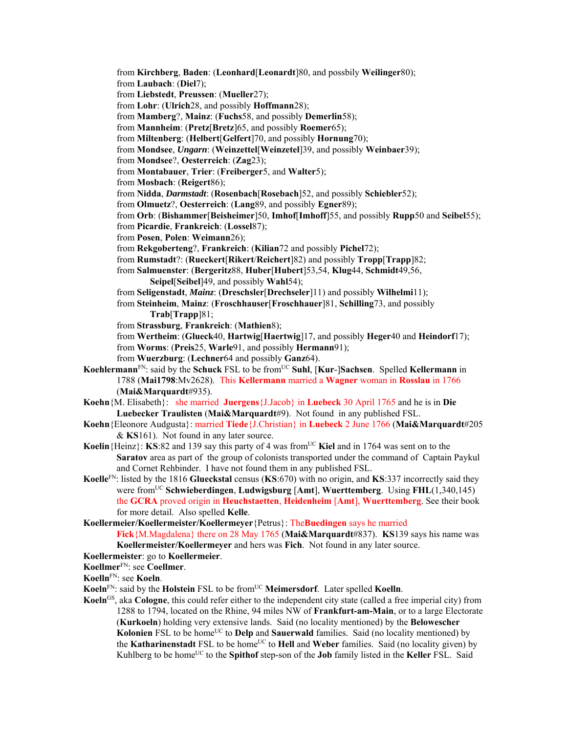from **Kirchberg**, **Baden**: (**Leonhard**[**Leonardt**]80, and possbily **Weilinger**80); from **Laubach**: (**Diel**7); from **Liebstedt**, **Preussen**: (**Mueller**27); from **Lohr**: (**Ulrich**28, and possibly **Hoffmann**28); from **Mamberg**?, **Mainz**: (**Fuchs**58, and possibly **Demerlin**58); from **Mannheim**: (**Pretz**[**Bretz**]65, and possibly **Roemer**65); from **Miltenberg**: (**Helbert**[**Gelfert**]70, and possibly **Hornung**70); from **Mondsee**, *Ungarn*: (**Weinzettel**[**Weinzetel**]39, and possibly **Weinbaer**39); from **Mondsee**?, **Oesterreich**: (**Zag**23); from **Montabauer**, **Trier**: (**Freiberger**5, and **Walter**5); from **Mosbach**: (**Reigert**86); from **Nidda**, *Darmstadt*: (**Rosenbach**[**Rosebach**]52, and possibly **Schiebler**52); from **Olmuetz**?, **Oesterreich**: (**Lang**89, and possibly **Egner**89); from **Orb**: (**Bishammer**[**Beisheimer**]50, **Imhof**[**Imhoff**]55, and possibly **Rupp**50 and **Seibel**55); from **Picardie**, **Frankreich**: (**Lossel**87); from **Posen**, **Polen**: **Weimann**26); from **Rekgoberteng**?, **Frankreich**: (**Kilian**72 and possibly **Pichel**72); from **Rumstadt**?: (**Rueckert**[**Rikert**/**Reichert**]82) and possibly **Tropp**[**Trapp**]82; from **Salmuenster**: (**Bergeritz**88, **Huber**[**Hubert**]53,54, **Klug**44, **Schmidt**49,56, **Seipel**[**Seibel**]49, and possibly **Wahl**54); from **Seligenstadt**, *Mainz*: (**Dreschsler**[**Drechseler**]11) and possibly **Wilhelmi**11); from **Steinheim**, **Mainz**: (**Froschhauser**[**Froschhauer**]81, **Schilling**73, and possibly **Trab**[**Trapp**]81; from **Strassburg**, **Frankreich**: (**Mathien**8); from **Wertheim**: (**Glueck**40, **Hartwig**[**Haertwig**]17, and possibly **Heger**40 and **Heindorf**17); from **Worms**: (**Preis**25, **Warle**91, and possibly **Hermann**91); from **Wuerzburg**: (**Lechner**64 and possibly **Ganz**64). **Koehlermann**FN: said by the **Schuck** FSL to be fromUC **Suhl**, [**Kur**-]**Sachsen**.Spelled **Kellermann** in 1788 (**Mai1798**:Mv2628). This **Kellermann** married a **Wagner** woman in **Rosslau** in 1766 (**Mai&Marquardt**#935). **Koehn**{M. Elisabeth}: she married **Juergens**{J.Jacob} in **Luebeck** 30 April 1765 and he is in **Die Luebecker Traulisten** (**Mai&Marquardt**#9). Not found in any published FSL. **Koehn**{Eleonore Audgusta}: married **Tiede**{J.Christian} in **Luebeck** 2 June 1766 (**Mai&Marquardt**#205 & **KS**161). Not found in any later source. **Koelin**{Heinz}: **KS**:82 and 139 say this party of 4 was from<sup>UC</sup> **Kiel** and in 1764 was sent on to the **Saratov** area as part of the group of colonists transported under the command of Captain Paykul and Cornet Rehbinder. I have not found them in any published FSL. **Koelle**FN: listed by the 1816 **Glueckstal** census (**KS**:670) with no origin, and **KS**:337 incorrectly said they were from<sup>UC</sup> Schwieberdingen, Ludwigsburg [Amt], Wuerttemberg. Using FHL(1,340,145) the **GCRA** proved origin in **Heuchstaetten**, **Heidenheim** [**Amt**], **Wuerttemberg**. See their book for more detail. Also spelled **Kelle**. **Koellermeier/Koellermeister/Koellermeyer**{Petrus}: The**Buedingen** says he married **Fick**{M.Magdalena} there on 28 May 1765 (**Mai&Marquardt**#837). **KS**139 says his name was **Koellermeister/Koellermeyer** and hers was **Fich**. Not found in any later source. **Koellermeister**: go to **Koellermeier**.

**Koellmer**FN: see **Coellmer**.

**Koelln**FN: see **Koeln**.

Koeln<sup>FN</sup>: said by the **Holstein** FSL to be from<sup>UC</sup> Meimersdorf. Later spelled Koelln.

**Koeln**<sup>GS</sup>, aka **Cologne**, this could refer either to the independent city state (called a free imperial city) from 1288 to 1794, located on the Rhine, 94 miles NW of **Frankfurt-am-Main**, or to a large Electorate (**Kurkoeln**) holding very extensive lands. Said (no locality mentioned) by the **Belowescher Kolonien** FSL to be home<sup>UC</sup> to **Delp** and **Sauerwald** families. Said (no locality mentioned) by the **Katharinenstadt** FSL to be home<sup>UC</sup> to **Hell** and **Weber** families. Said (no locality given) by Kuhlberg to be home<sup>UC</sup> to the **Spithof** step-son of the **Job** family listed in the **Keller** FSL. Said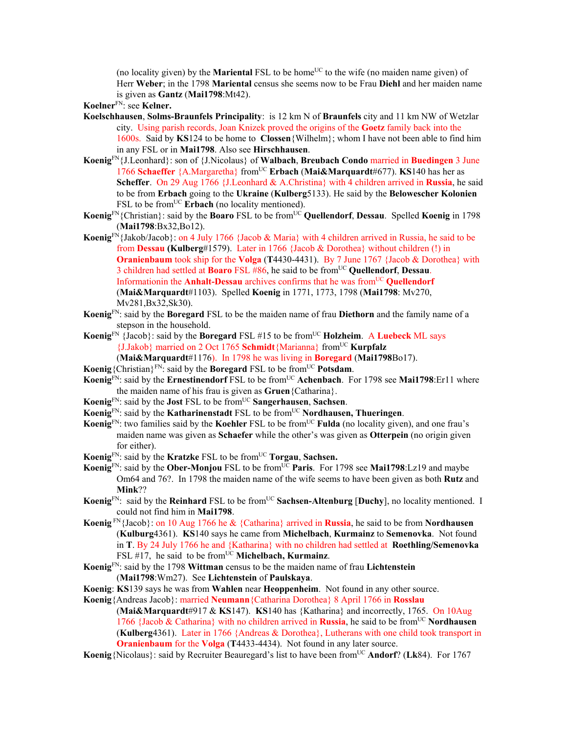(no locality given) by the **Mariental** FSL to be home<sup>UC</sup> to the wife (no maiden name given) of Herr **Weber**; in the 1798 **Mariental** census she seems now to be Frau **Diehl** and her maiden name is given as **Gantz** (**Mai1798**:Mt42).

**Koelner**FN: see **Kelner.** 

- **Koelschhausen**, **Solms-Braunfels Principality**: is 12 km N of **Braunfels** city and 11 km NW of Wetzlar city. Using parish records, Joan Knizek proved the origins of the **Goetz** family back into the 1600s. Said by **KS**124 to be home to **Clossen**{Wilhelm}; whom I have not been able to find him in any FSL or in **Mai1798**. Also see **Hirschhausen**.
- **Koenig**FN{J.Leonhard}: son of {J.Nicolaus} of **Walbach**, **Breubach Condo** married in **Buedingen** 3 June 1766 **Schaeffer** {A.Margaretha} fromUC **Erbach** (**Mai&Marquardt**#677). **KS**140 has her as **Scheffer**. On 29 Aug 1766 {J.Leonhard & A.Christina} with 4 children arrived in **Russia**, he said to be from **Erbach** going to the **Ukraine** (**Kulberg**5133). He said by the **Belowescher Kolonien** FSL to be from<sup>UC</sup> Erbach (no locality mentioned).
- **Koenig**FN{Christian}: said by the **Boaro** FSL to be fromUC **Quellendorf**, **Dessau**. Spelled **Koenig** in 1798 (**Mai1798**:Bx32,Bo12).
- **Koenig**FN{Jakob/Jacob}: on 4 July 1766 {Jacob & Maria} with 4 children arrived in Russia, he said to be from **Dessau (Kulberg**#1579).Later in 1766 {Jacob & Dorothea} without children (!) in **Oranienbaum** took ship for the **Volga** (**T**4430-4431). By 7 June 1767 {Jacob & Dorothea} with 3 children had settled at **Boaro** FSL #86, he said to be fromUC **Quellendorf**, **Dessau**. Informationin the **Anhalt-Dessau** archives confirms that he was from<sup>UC</sup> **Quellendorf** (**Mai&Marquardt**#1103). Spelled **Koenig** in 1771, 1773, 1798 (**Mai1798**: Mv270, Mv281,Bx32,Sk30).
- **Koenig**FN: said by the **Boregard** FSL to be the maiden name of frau **Diethorn** and the family name of a stepson in the household.
- **Koenig**FN {Jacob}: said by the **Boregard** FSL #15 to be fromUC **Holzheim**. A **Luebeck** ML says {J.Jakob} married on 2 Oct 1765 **Schmidt**{Marianna} fromUC **Kurpfalz**

(**Mai&Marquardt**#1176). In 1798 he was living in **Boregard** (**Mai1798**Bo17).

- **Koenig** {Christian}<sup>FN</sup>: said by the **Boregard** FSL to be from<sup>UC</sup> **Potsdam**.
- **Koenig**<sup>FN</sup>: said by the **Ernestinendorf** FSL to be from<sup>UC</sup> **Achenbach**. For 1798 see **Mai1798**:Er11 where the maiden name of his frau is given as **Gruen**{Catharina}.
- **Koenig**FN: said by the **Jost** FSL to be fromUC **Sangerhausen**, **Sachsen**.
- **Koenig**<sup>FN</sup>: said by the **Katharinenstadt** FSL to be from<sup>UC</sup> **Nordhausen, Thueringen.**
- **Koenig**<sup>FN</sup>: two families said by the **Koehler** FSL to be from<sup>UC</sup> **Fulda** (no locality given), and one frau's maiden name was given as **Schaefer** while the other's was given as **Otterpein** (no origin given for either).
- **Koenig**<sup>FN</sup>: said by the **Kratzke** FSL to be from<sup>UC</sup> **Torgau**, **Sachsen.**
- **Koenig**FN: said by the **Ober-Monjou** FSL to be fromUC **Paris**. For 1798 see **Mai1798**:Lz19 and maybe Om64 and 76?. In 1798 the maiden name of the wife seems to have been given as both **Rutz** and **Mink**??
- **Koenig**<sup>FN</sup>: said by the **Reinhard** FSL to be from<sup>UC</sup> **Sachsen-Altenburg [Duchy**], no locality mentioned. I could not find him in **Mai1798**.
- **Koenig** FN{Jacob}: on 10 Aug 1766 he & {Catharina} arrived in **Russia**, he said to be from **Nordhausen**  (**Kulburg**4361). **KS**140 says he came from **Michelbach**, **Kurmainz** to **Semenovka**. Not found in **T**. By 24 July 1766 he and {Katharina} with no children had settled at **Roethling/Semenovka** FSL #17, he said to be from<sup>UC</sup> Michelbach, Kurmainz.
- **Koenig**FN: said by the 1798 **Wittman** census to be the maiden name of frau **Lichtenstein**  (**Mai1798**:Wm27). See **Lichtenstein** of **Paulskaya**.
- **Koenig**: **KS**139 says he was from **Wahlen** near **Heoppenheim**. Not found in any other source.
- **Koenig**{Andreas Jacob}: married **Neumann**{Catharina Dorothea} 8 April 1766 in **Rosslau**

(**Mai&Marquardt**#917 & **KS**147). **KS**140 has {Katharina} and incorrectly, 1765. On 10Aug 1766 {Jacob & Catharina} with no children arrived in **Russia**, he said to be from<sup>UC</sup> **Nordhausen** (**Kulberg**4361). Later in 1766 {Andreas & Dorothea}, Lutherans with one child took transport in **Oranienbaum** for the **Volga** (**T**4433-4434). Not found in any later source.

**Koenig**{Nicolaus}: said by Recruiter Beauregard's list to have been from<sup>UC</sup> **Andorf**? (Lk84). For 1767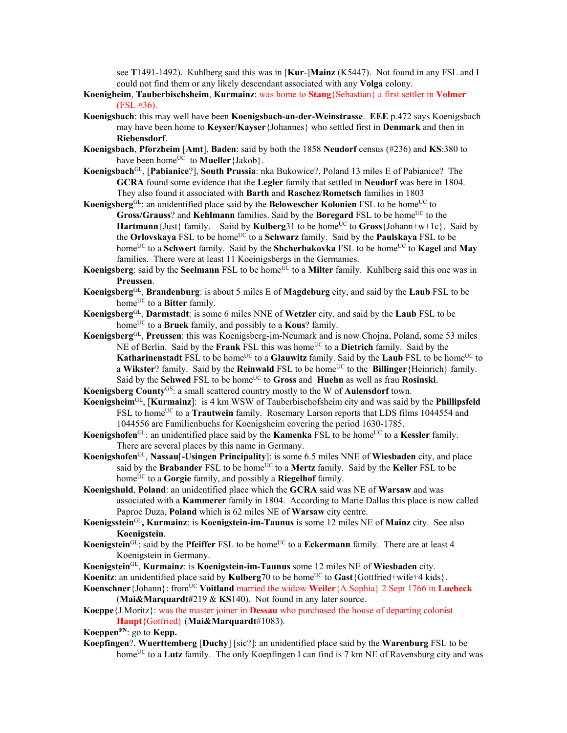see **T**1491-1492). Kuhlberg said this was in [**Kur**-]**Mainz** (K5447). Not found in any FSL and I could not find them or any likely descendant associated with any **Volga** colony.

- **Koenigheim**, **Tauberbischsheim**, **Kurmainz**: was home to **Stang**{Sebastian} a first settler in **Volmer** (FSL #36).
- **Koenigsbach**: this may well have been **Koenigsbach-an-der-Weinstrasse**. **EEE** p.472 says Koenigsbach may have been home to **Keyser/Kayser**{Johannes} who settled first in **Denmark** and then in **Riebensdorf**.
- **Koenigsbach**, **Pforzheim** [**Amt**], **Baden**: said by both the 1858 **Neudorf** census (#236) and **KS**:380 to have been home<sup>UC</sup> to **Mueller** {Jakob}.
- **Koenigsbach**GL, [**Pabianice**?], **South Prussia**: nka Bukowice?, Poland 13 miles E of Pabianice? The **GCRA** found some evidence that the **Legler** family that settled in **Neudorf** was here in 1804. They also found it associated with **Barth** and **Raschez**/**Rometsch** families in 1803
- **Koenigsberg**<sup>GL</sup>: an unidentified place said by the **Belowescher Kolonien** FSL to be home<sup>UC</sup> to **Gross/Grauss**? and **Kehlmann** families. Said by the **Boregard** FSL to be home<sup>UC</sup> to the **Hartmann** {Just} family. Saiid by **Kulberg**31 to be home<sup>UC</sup> to **Gross** {Johann+w+1c}. Said by the **Orlovskaya** FSL to be home<sup>UC</sup> to a **Schwarz** family. Said by the **Paulskaya** FSL to be home<sup>UC</sup> to a **Schwert** family. Said by the **Shcherbakovka** FSL to be home<sup>UC</sup> to **Kagel** and **May** families. There were at least 11 Koeinigsbergs in the Germanies.
- **Koenigsberg**: said by the **Seelmann** FSL to be home<sup>UC</sup> to a **Milter** family. Kuhlberg said this one was in **Preussen**.
- **Koenigsberg**GL, **Brandenburg**: is about 5 miles E of **Magdeburg** city, and said by the **Laub** FSL to be home<sup>UC</sup> to a **Bitter** family.
- **Koenigsberg**GL, **Darmstadt**: is some 6 miles NNE of **Wetzler** city, and said by the **Laub** FSL to be home<sup>UC</sup> to a **Bruek** family, and possibly to a **Kous**? family.
- **Koenigsberg**GL, **Preussen**: this was Koenigsberg-im-Neumark and is now Chojna, Poland, some 53 miles NE of Berlin. Said by the **Frank** FSL this was home<sup>UC</sup> to a **Dietrich** family. Said by the **Katharinenstadt** FSL to be home<sup>UC</sup> to a **Glauwitz** family. Said by the **Laub** FSL to be home<sup>UC</sup> to a Wikster? family. Said by the **Reinwald** FSL to be home<sup>UC</sup> to the **Billinger** {Heinrich} family. Said by the **Schwed** FSL to be home<sup>UC</sup> to **Gross** and **Huehn** as well as frau **Rosinski**.
- **Koenigsberg County**GS: a small scattered country mostly to the W of **Aulensdorf** town.
- **Koenigsheim**GL, [**Kurmainz**]: is 4 km WSW of Tauberbischofsheim city and was said by the **Phillipsfeld** FSL to home<sup>UC</sup> to a **Trautwein** family. Rosemary Larson reports that LDS films 1044554 and 1044556 are Familienbuchs for Koenigsheim covering the period 1630-1785.
- **Koenigshofen**<sup>GL</sup>: an unidentified place said by the **Kamenka** FSL to be home<sup>UC</sup> to a **Kessler** family. There are several places by this name in Germany.
- **Koenigshofen**GL, **Nassau**[**-Usingen Principality**]: is some 6.5 miles NNE of **Wiesbaden** city, and place said by the **Brabander** FSL to be home<sup>UC</sup> to a **Mertz** family. Said by the **Keller** FSL to be home<sup>UC</sup> to a **Gorgie** family, and possibly a **Riegelhof** family.
- **Koenigshuld**, **Poland**: an unidentified place which the **GCRA** said was NE of **Warsaw** and was associated with a **Kammerer** family in 1804. According to Marie Dallas this place is now called Paproc Duza, **Poland** which is 62 miles NE of **Warsaw** city centre.
- **Koenigsstein**GL**, Kurmainz**: is **Koenigstein-im-Taunus** is some 12 miles NE of **Mainz** city. See also **Koenigstein**.
- **Koenigstein**<sup>GL</sup>: said by the **Pfeiffer** FSL to be home<sup>UC</sup> to a **Eckermann** family. There are at least 4 Koenigstein in Germany.
- **Koenigstein**GL, **Kurmainz**: is **Koenigstein-im-Taunus** some 12 miles NE of **Wiesbaden** city.

**Koenitz**: an unidentified place said by **Kulberg**70 to be home<sup>UC</sup> to **Gast**{Gottfried+wife+4 kids}.

- **Koenschner**{Johann}: fromUC **Voitland** married the widow **Weiler**{A.Sophia} 2 Sept 1766 in **Luebeck** (**Mai&Marquardt#**219 & **KS**140). Not found in any later source.
- **Koeppe**{J.Moritz}: was the master joiner in **Dessau** who purchased the house of departing colonist **Haupt**{Gotfried} (**Mai&Marquardt**#1083).

**KoeppenFN**: go to **Kepp.** 

**Koepfingen**?, **Wuerttemberg** [**Duchy**] [sic?]: an unidentified place said by the **Warenburg** FSL to be home<sup>UC</sup> to a **Lutz** family. The only Koepfingen I can find is 7 km NE of Ravensburg city and was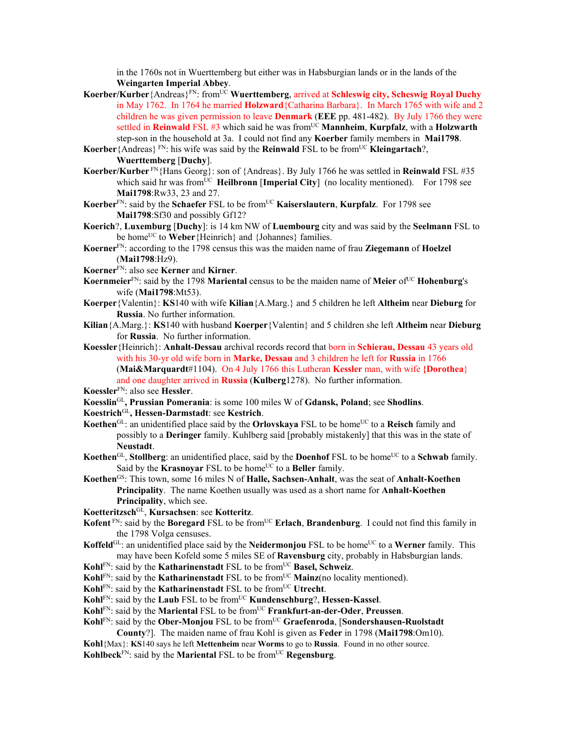in the 1760s not in Wuerttemberg but either was in Habsburgian lands or in the lands of the **Weingarten Imperial Abbey**.

- **Koerber/Kurber**{Andreas}FN: fromUC **Wuerttemberg**, arrived at **Schleswig city, Scheswig Royal Duchy** in May 1762. In 1764 he married **Holzward**{Catharina Barbara}. In March 1765 with wife and 2 children he was given permission to leave **Denmark** (**EEE** pp. 481-482). By July 1766 they were settled in **Reinwald** FSL #3 which said he was from<sup>UC</sup> Mannheim, **Kurpfalz**, with a **Holzwarth** step-son in the household at 3a. I could not find any **Koerber** family members in **Mai1798**.
- **Koerber** {Andreas}  $F_N$ : his wife was said by the **Reinwald** FSL to be from <sup>UC</sup> **Kleingartach**?, **Wuerttemberg** [**Duchy**].
- **Koerber/Kurber** FN{Hans Georg}: son of {Andreas}. By July 1766 he was settled in **Reinwald** FSL #35 which said hr was from<sup>UC</sup> **Heilbronn** [Imperial City] (no locality mentioned). For 1798 see **Mai1798**:Rw33, 23 and 27.
- **Koerber**FN: said by the **Schaefer** FSL to be fromUC **Kaiserslautern**, **Kurpfalz**. For 1798 see **Mai1798**:Sf30 and possibly Gf12?
- **Koerich**?, **Luxemburg** [**Duchy**]: is 14 km NW of **Luembourg** city and was said by the **Seelmann** FSL to be home<sup>UC</sup> to **Weber**{Heinrich} and {Johannes} families.
- **Koerner**FN: according to the 1798 census this was the maiden name of frau **Ziegemann** of **Hoelzel** (**Mai1798**:Hz9).
- **Koerner**FN: also see **Kerner** and **Kirner**.
- **Koernmeier**<sup>FN</sup>: said by the 1798 **Mariental** census to be the maiden name of **Meier** of UC **Hohenburg**'s wife (**Mai1798**:Mt53).
- **Koerper**{Valentin}: **KS**140 with wife **Kilian**{A.Marg.} and 5 children he left **Altheim** near **Dieburg** for **Russia**. No further information.
- **Kilian**{A.Marg.}: **KS**140 with husband **Koerper**{Valentin} and 5 children she left **Altheim** near **Dieburg**  for **Russia**. No further information.
- **Koessler**{Heinrich}: **Anhalt-Dessau** archival records record that born in **Schierau, Dessau** 43 years old with his 30-yr old wife born in **Marke, Dessau** and 3 children he left for **Russia** in 1766 (**Mai&Marquardt**#1104). On 4 July 1766 this Lutheran **Kessler** man, with wife **{Dorothea**} and one daughter arrived in **Russia** (**Kulberg**1278). No further information.
- **Koessler**FN: also see **Hessler**.
- **Koesslin**GL**, Prussian Pomerania**: is some 100 miles W of **Gdansk, Poland**; see **Shodlins**.
- **Koestrich**GL**, Hessen-Darmstadt**: see **Kestrich**.
- **Koethen**<sup>GL</sup>: an unidentified place said by the **Orlovskaya** FSL to be home<sup>UC</sup> to a **Reisch** family and possibly to a **Deringer** family. Kuhlberg said [probably mistakenly] that this was in the state of **Neustadt**.
- **Koethen**<sup>GL</sup>, **Stollberg**: an unidentified place, said by the **Doenhof** FSL to be home<sup>UC</sup> to a **Schwab** family. Said by the **Krasnovar** FSL to be home<sup>UC</sup> to a **Beller** family.
- **Koethen**GS: This town, some 16 miles N of **Halle, Sachsen-Anhalt**, was the seat of **Anhalt-Koethen Principality**. The name Koethen usually was used as a short name for **Anhalt-Koethen Principality**, which see.
- **Koetteritzsch**GL, **Kursachsen**: see **Kotteritz**.
- **Kofent** FN: said by the **Boregard** FSL to be from<sup>UC</sup> **Erlach**, **Brandenburg**. I could not find this family in the 1798 Volga censuses.
- **Koffeld**<sup>GL</sup>: an unidentified place said by the **Neidermonjou** FSL to be home<sup>UC</sup> to a **Werner** family. This may have been Kofeld some 5 miles SE of **Ravensburg** city, probably in Habsburgian lands.
- Kohl<sup>FN</sup>: said by the **Katharinenstadt** FSL to be from<sup>UC</sup> Basel, Schweiz.
- **Kohl**FN: said by the **Katharinenstadt** FSL to be from<sup>UC</sup> **Mainz**(no locality mentioned).
- **Kohl**<sup>FN</sup>: said by the **Katharinenstadt** FSL to be from<sup>UC</sup> Utrecht.
- **Kohl**FN: said by the **Laub** FSL to be fromUC **Kundenschburg**?, **Hessen-Kassel**.
- **Kohl**FN: said by the **Mariental** FSL to be fromUC **Frankfurt-an-der-Oder**, **Preussen**.
- **Kohl<sup>FN</sup>: said by the Ober-Monjou FSL to be from<sup>UC</sup> Graefenroda, [Sondershausen-Ruolstadt**
- **County**?]. The maiden name of frau Kohl is given as **Feder** in 1798 (**Mai1798**:Om10). **Kohl**{Max}: **KS**140 says he left **Mettenheim** near **Worms** to go to **Russia**. Found in no other source.
- **Kohlbeck**<sup>FN</sup>: said by the **Mariental** FSL to be from<sup>UC</sup> **Regensburg**.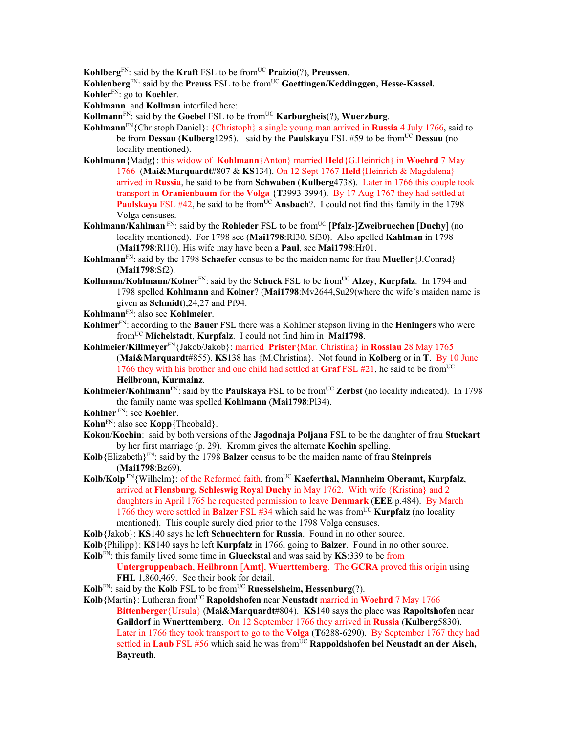**Kohlberg**<sup>FN</sup>: said by the **Kraft** FSL to be from<sup>UC</sup> **Praizio**(?), **Preussen**.

Kohlenberg<sup>FN</sup>: said by the Preuss FSL to be from<sup>UC</sup> Goettingen/Keddinggen, Hesse-Kassel. **Kohler**FN: go to **Koehler**.

**Kohlmann** and **Kollman** interfiled here:

**Kollmann**<sup>FN</sup>: said by the **Goebel** FSL to be from<sup>UC</sup> **Karburgheis**(?), **Wuerzburg**.

- **Kohlmann**FN{Christoph Daniel}: {Christoph} a single young man arrived in **Russia** 4 July 1766, said to be from **Dessau** (**Kulberg**1295). said by the **Paulskaya** FSL #59 to be from<sup>UC</sup> **Dessau** (no locality mentioned).
- **Kohlmann**{Madg}: this widow of **Kohlmann**{Anton} married **Held**{G.Heinrich} in **Woehrd** 7 May 1766 (**Mai&Marquardt**#807 & **KS**134). On 12 Sept 1767 **Held**{Heinrich & Magdalena} arrived in **Russia**, he said to be from **Schwaben** (**Kulberg**4738). Later in 1766 this couple took transport in **Oranienbaum** for the **Volga** {**T**3993-3994). By 17 Aug 1767 they had settled at **Paulskaya** FSL #42, he said to be from<sup>UC</sup> Ansbach?. I could not find this family in the 1798 Volga censuses.
- **Kohlmann/Kahlman** FN: said by the **Rohleder** FSL to be from<sup>UC</sup> [Pfalz-]Zweibruechen [Duchy] (no locality mentioned). For 1798 see (**Mai1798**:Rl30, Sf30). Also spelled **Kahlman** in 1798 (**Mai1798**:Rl10). His wife may have been a **Paul**, see **Mai1798**:Hr01.
- **Kohlmann**FN: said by the 1798 **Schaefer** census to be the maiden name for frau **Mueller**{J.Conrad} (**Mai1798**:Sf2).
- **Kollmann/Kohlmann/Kolner**FN: said by the **Schuck** FSL to be fromUC **Alzey**, **Kurpfalz**. In 1794 and 1798 spelled **Kohlmann** and **Kolner**? (**Mai1798**:Mv2644,Su29(where the wife's maiden name is given as **Schmidt**),24,27 and Pf94.
- **Kohlmann**FN: also see **Kohlmeier**.
- **Kohlmer**FN: according to the **Bauer** FSL there was a Kohlmer stepson living in the **Heninger**s who were fromUC **Michelstadt**, **Kurpfalz**. I could not find him in **Mai1798**.
- **Kohlmeier/Killmeyer**FN{Jakob/Jakob}: married **Prister**{Mar. Christina} in **Rosslau** 28 May 1765 (**Mai&Marquardt**#855). **KS**138 has {M.Christina}. Not found in **Kolberg** or in **T**. By 10 June 1766 they with his brother and one child had settled at **Graf** FSL  $#21$ , he said to be from<sup>UC</sup> **Heilbronn, Kurmainz**.
- **Kohlmeier/Kohlmann**<sup>FN</sup>: said by the **Paulskaya** FSL to be from<sup>UC</sup> Zerbst (no locality indicated). In 1798 the family name was spelled **Kohlmann** (**Mai1798**:Pl34).
- **Kohlner** FN: see **Koehler**.
- **Kohn**FN: also see **Kopp**{Theobald}.
- **Kokon**/**Kochin**: said by both versions of the **Jagodnaja Poljana** FSL to be the daughter of frau **Stuckart** by her first marriage (p. 29). Kromm gives the alternate **Kochin** spelling.
- **Kolb**{Elizabeth}FN: said by the 1798 **Balzer** census to be the maiden name of frau **Steinpreis**  (**Mai1798**:Bz69).
- Kolb/Kolp<sup>FN</sup>{Wilhelm}: of the Reformed faith, from<sup>UC</sup> Kaeferthal, Mannheim Oberamt, Kurpfalz, arrived at **Flensburg, Schleswig Royal Duchy** in May 1762. With wife {Kristina} and 2 daughters in April 1765 he requested permission to leave **Denmark** (**EEE** p.484). By March 1766 they were settled in **Balzer** FSL #34 which said he was from<sup>UC</sup> **Kurpfalz** (no locality mentioned). This couple surely died prior to the 1798 Volga censuses.
- **Kolb**{Jakob}: **KS**140 says he left **Schuechtern** for **Russia**. Found in no other source.
- **Kolb**{Philipp}: **KS**140 says he left **Kurpfalz** in 1766, going to **Balzer**. Found in no other source.
- **Kolb**FN: this family lived some time in **Glueckstal** and was said by **KS**:339 to be from

**Untergruppenbach**, **Heilbronn** [**Amt**], **Wuerttemberg**. The **GCRA** proved this origin using **FHL** 1,860,469. See their book for detail.

- **Kolb**<sup>FN</sup>: said by the **Kolb** FSL to be from<sup>UC</sup> **Ruesselsheim, Hessenburg**(?).
- **Kolb**{Martin}: Lutheran from<sup>UC</sup> **Rapoldshofen** near **Neustadt** married in **Woehrd** 7 May 1766 **Bittenberger**{Ursula} (**Mai&Marquardt**#804). **KS**140 says the place was **Rapoltshofen** near **Gaildorf** in **Wuerttemberg**. On 12 September 1766 they arrived in **Russia** (**Kulberg**5830). Later in 1766 they took transport to go to the **Volga** (**T**6288-6290). By September 1767 they had settled in **Laub** FSL #56 which said he was from<sup>UC</sup> **Rappoldshofen bei Neustadt an der Aisch, Bayreuth**.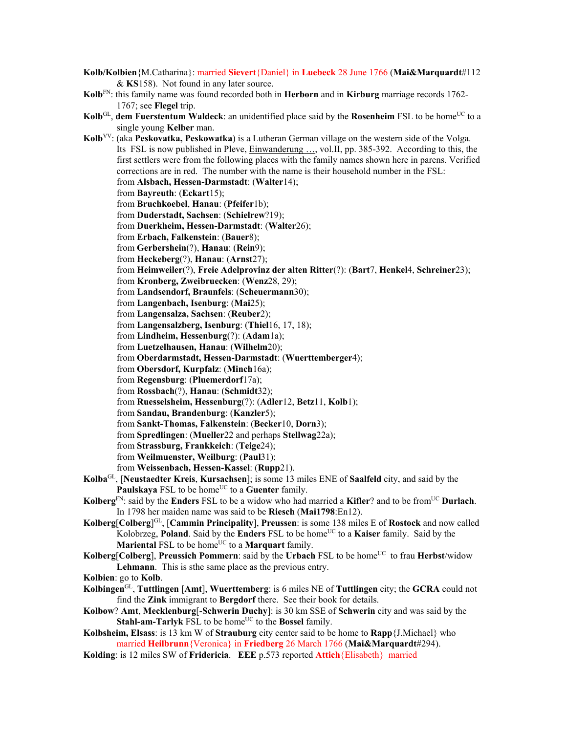- **Kolb/Kolbien**{M.Catharina}: married **Sievert**{Daniel} in **Luebeck** 28 June 1766 (**Mai&Marquardt**#112 & **KS**158). Not found in any later source.
- **Kolb**FN: this family name was found recorded both in **Herborn** and in **Kirburg** marriage records 1762- 1767; see **Flegel** trip.
- **Kolb**<sup>GL</sup>, **dem Fuerstentum Waldeck**: an unidentified place said by the **Rosenheim** FSL to be home<sup>UC</sup> to a single young **Kelber** man.
- **Kolb**VV: (aka **Peskovatka, Peskowatka**) is a Lutheran German village on the western side of the Volga. Its FSL is now published in Pleve, Einwanderung …, vol.II, pp. 385-392. According to this, the first settlers were from the following places with the family names shown here in parens. Verified corrections are in red. The number with the name is their household number in the FSL: from **Alsbach, Hessen-Darmstadt**: (**Walter**14); from **Bayreuth**: (**Eckart**15); from **Bruchkoebel**, **Hanau**: (**Pfeifer**1b); from **Duderstadt, Sachsen**: (**Schielrew**?19); from **Duerkheim, Hessen-Darmstadt**: (**Walter**26); from **Erbach, Falkenstein**: (**Bauer**8); from **Gerbershein**(?), **Hanau**: (**Rein**9); from **Heckeberg**(?), **Hanau**: (**Arnst**27); from **Heimweiler**(?), **Freie Adelprovinz der alten Ritter**(?): (**Bart**7, **Henkel**4, **Schreiner**23); from **Kronberg, Zweibruecken**: (**Wenz**28, 29); from **Landsendorf, Braunfels**: (**Scheuermann**30); from **Langenbach, Isenburg**: (**Mai**25); from **Langensalza, Sachsen**: (**Reuber**2); from **Langensalzberg, Isenburg**: (**Thiel**16, 17, 18); from **Lindheim, Hessenburg**(?): (**Adam**1a); from **Luetzelhausen, Hanau**: (**Wilhelm**20); from **Oberdarmstadt, Hessen-Darmstadt**: (**Wuerttemberger**4); from **Obersdorf, Kurpfalz**: (**Minch**16a); from **Regensburg**: (**Pluemerdorf**17a); from **Rossbach**(?), **Hanau**: (**Schmidt**32); from **Ruesselsheim, Hessenburg**(?): (**Adler**12, **Betz**11, **Kolb**1); from **Sandau, Brandenburg**: (**Kanzler**5); from **Sankt-Thomas, Falkenstein**: (**Becker**10, **Dorn**3); from **Spredlingen**: (**Mueller**22 and perhaps **Stellwag**22a); from **Strassburg, Frankkeich**: (**Teige**24); from **Weilmuenster, Weilburg**: (**Paul**31); from **Weissenbach, Hessen-Kassel**: (**Rupp**21). **Kolba**GL, [**Neustaedter Kreis**, **Kursachsen**]; is some 13 miles ENE of **Saalfeld** city, and said by the Paulskaya FSL to be home<sup>UC</sup> to a Guenter family. **Kolberg**FN: said by the **Enders** FSL to be a widow who had married a **Kifler**? and to be fromUC **Durlach**. In 1798 her maiden name was said to be **Riesch** (**Mai1798**:En12). **Kolberg**[**Colberg**] GL, [**Cammin Principality**], **Preussen**: is some 138 miles E of **Rostock** and now called Kolobrzeg, **Poland**. Said by the **Enders** FSL to be homeUC to a **Kaiser** family. Said by the **Mariental FSL to be home<sup>UC</sup> to a <b>Marquart** family. **Kolberg**[**Colberg**], **Preussich Pommern**: said by the **Urbach** FSL to be home<sup>UC</sup> to frau **Herbst**/widow **Lehmann**. This is sthe same place as the previous entry. **Kolbien**: go to **Kolb**. **Kolbingen**GL, **Tuttlingen** [**Amt**], **Wuerttemberg**: is 6 miles NE of **Tuttlingen** city; the **GCRA** could not find the **Zink** immigrant to **Bergdorf** there. See their book for details. **Kolbow**? **Amt**, **Mecklenburg**[-**Schwerin Duchy**]: is 30 km SSE of **Schwerin** city and was said by the

**Stahl-am-Tarlyk** FSL to be home<sup>UC</sup> to the **Bossel** family.

**Kolbsheim, Elsass**: is 13 km W of **Strauburg** city center said to be home to **Rapp**{J.Michael} who married **Heilbrunn**{Veronica} in **Friedberg** 26 March 1766 (**Mai&Marquardt**#294).

**Kolding**: is 12 miles SW of **Fridericia**. **EEE** p.573 reported **Attich**{Elisabeth} married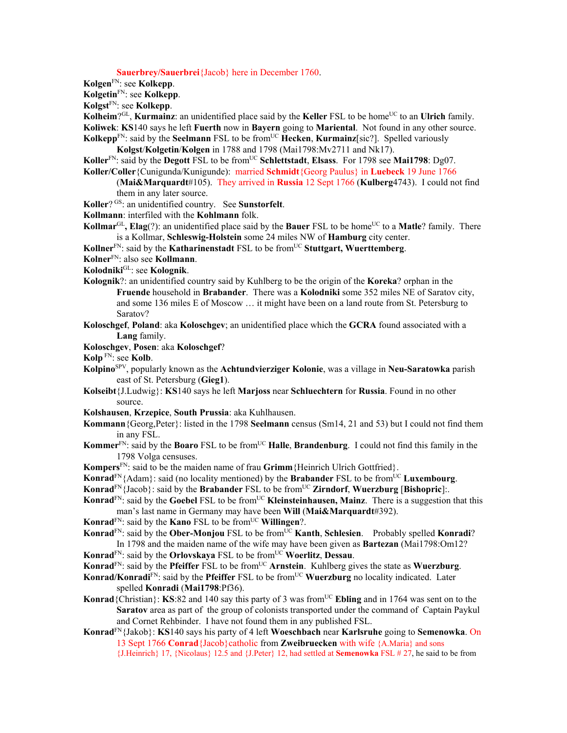**Sauerbrey/Sauerbrei**{Jacob} here in December 1760.

- **Kolgen**FN: see **Kolkepp**.
- **Kolgetin**FN: see **Kolkepp**.

**Kolgst**FN: see **Kolkepp**.

**Kolheim**?GL, **Kurmainz**: an unidentified place said by the **Keller** FSL to be home<sup>UC</sup> to an **Ulrich** family. **Koliwek**: **KS**140 says he left **Fuerth** now in **Bayern** going to **Mariental**. Not found in any other source.

**Kolkepp**<sup>FN</sup>: said by the **Seelmann** FSL to be from<sup>UC</sup> **Hecken**, **Kurmainz**[sic?]. Spelled variously **Kolgst**/**Kolgetin**/**Kolgen** in 1788 and 1798 (Mai1798:Mv2711 and Nk17).

Koller<sup>FN</sup>: said by the **Degott** FSL to be from<sup>UC</sup> Schlettstadt, Elsass. For 1798 see Mai1798: Dg07. **Koller/Coller**{Cunigunda/Kunigunde): married **Schmidt**{Georg Paulus} in **Luebeck** 19 June 1766

(**Mai&Marquardt**#105). They arrived in **Russia** 12 Sept 1766 (**Kulberg**4743). I could not find them in any later source.

- **Koller**? GS: an unidentified country. See **Sunstorfelt**.
- **Kollmann**: interfiled with the **Kohlmann** folk.

**Kollmar**<sup>GL</sup>, **Elag**(?): an unidentified place said by the **Bauer** FSL to be home<sup>UC</sup> to a **Matle**? family. There is a Kollmar, **Schleswig-Holstein** some 24 miles NW of **Hamburg** city center.

**Kollner**<sup>FN</sup>: said by the **Katharinenstadt** FSL to be from<sup>UC</sup> Stuttgart, Wuerttemberg.

**Kolner**FN: also see **Kollmann**.

- **Kolodniki**GL: see **Kolognik**.
- **Kolognik**?: an unidentified country said by Kuhlberg to be the origin of the **Koreka**? orphan in the **Fruende** household in **Brabander**. There was a **Kolodniki** some 352 miles NE of Saratov city, and some 136 miles E of Moscow … it might have been on a land route from St. Petersburg to Saratov?
- **Koloschgef**, **Poland**: aka **Koloschgev**; an unidentified place which the **GCRA** found associated with a **Lang** family.
- **Koloschgev**, **Posen**: aka **Koloschgef**?
- **Kolp** FN: see **Kolb**.
- **Kolpino**SPV, popularly known as the **Achtundvierziger Kolonie**, was a village in **Neu-Saratowka** parish east of St. Petersburg (**Gieg1**).
- **Kolseibt**{J.Ludwig}: **KS**140 says he left **Marjoss** near **Schluechtern** for **Russia**. Found in no other source.
- **Kolshausen**, **Krzepice**, **South Prussia**: aka Kuhlhausen.
- **Kommann**{Georg,Peter}: listed in the 1798 **Seelmann** census (Sm14, 21 and 53) but I could not find them in any FSL.
- **Kommer**FN: said by the **Boaro** FSL to be fromUC **Halle**, **Brandenburg**.I could not find this family in the 1798 Volga censuses.
- **Kompers**FN: said to be the maiden name of frau **Grimm**{Heinrich Ulrich Gottfried}.
- **Konrad**<sup>FN</sup>{Adam}: said (no locality mentioned) by the **Brabander** FSL to be from<sup>UC</sup> **Luxembourg**.
- **Konrad<sup>FN</sup>**{Jacob}: said by the **Brabander** FSL to be from<sup>UC</sup> **Zirndorf**, **Wuerzburg** [Bishopric]:.
- **Konrad<sup>FN</sup>:** said by the **Goebel FSL** to be from<sup>UC</sup> **Kleinsteinhausen, Mainz**. There is a suggestion that this man's last name in Germany may have been **Will** (**Mai&Marquardt**#392).
- **Konrad**<sup>FN</sup>: said by the **Kano** FSL to be from<sup>UC</sup> **Willingen**?.
- **Konrad**<sup>FN</sup>: said by the **Ober-Monjou** FSL to be from<sup>UC</sup> **Kanth**, **Schlesien**. Probably spelled **Konradi**? In 1798 and the maiden name of the wife may have been given as **Bartezan** (Mai1798:Om12?
- **Konrad**<sup>FN</sup>: said by the **Orlovskaya** FSL to be from<sup>UC</sup> **Woerlitz**, **Dessau**.
- **Konrad**<sup>FN</sup>: said by the **Pfeiffer** FSL to be from<sup>UC</sup> **Arnstein**. Kuhlberg gives the state as **Wuerzburg**.
- **Konrad/Konradi**FN: said by the **Pfeiffer** FSL to be from<sup>UC</sup> Wuerzburg no locality indicated. Later spelled **Konradi** (**Mai1798**:Pf36).
- Konrad<sup>{</sup>Christian}: **KS**:82 and 140 say this party of 3 was from<sup>UC</sup> **Ebling** and in 1764 was sent on to the **Saratov** area as part of the group of colonists transported under the command of Captain Paykul and Cornet Rehbinder. I have not found them in any published FSL.
- **Konrad**FN{Jakob}: **KS**140 says his party of 4 left **Woeschbach** near **Karlsruhe** going to **Semenowka**. On 13 Sept 1766 **Conrad**{Jacob}catholic from **Zweibruecken** with wife {A.Maria} and sons {J.Heinrich} 17, {Nicolaus} 12.5 and {J.Peter} 12, had settled at **Semenowka** FSL # 27, he said to be from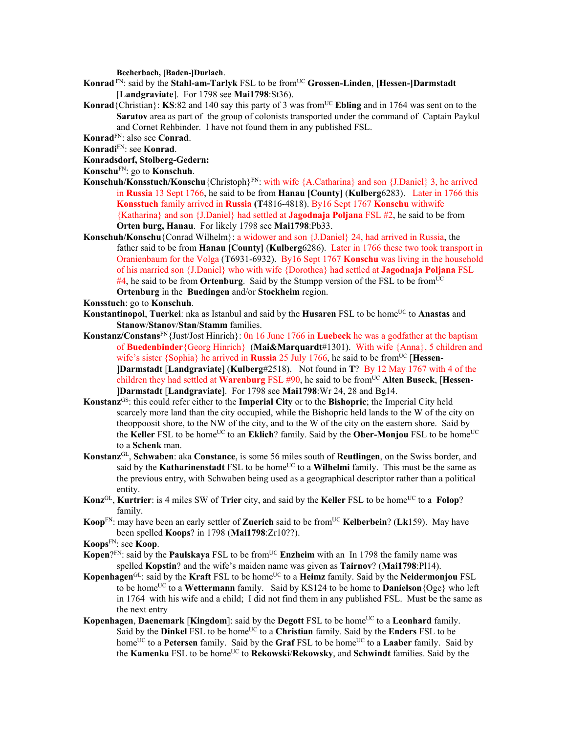**Becherbach, [Baden-]Durlach**.

- **Konrad** FN: said by the **Stahl-am-Tarlyk** FSL to be fromUC **Grossen-Linden**, **[Hessen-]Darmstadt**  [**Landgraviate**]. For 1798 see **Mai1798**:St36).
- **Konrad**{Christian}: **KS**:82 and 140 say this party of 3 was from<sup>UC</sup> **Ebling** and in 1764 was sent on to the **Saratov** area as part of the group of colonists transported under the command of Captain Paykul and Cornet Rehbinder. I have not found them in any published FSL.
- **Konrad**FN: also see **Conrad**.
- **Konradi**FN: see **Konrad**.

## **Konradsdorf, Stolberg-Gedern:**

- **Konschu**FN: go to **Konschuh**.
- **Konschuh/Konsstuch/Konschu**{Christoph}FN: with wife {A.Catharina} and son {J.Daniel} 3, he arrived in **Russia** 13 Sept 1766, he said to be from **Hanau [County]** (**Kulberg**6283). Later in 1766 this **Konsstuch** family arrived in **Russia (T**4816-4818). By16 Sept 1767 **Konschu** withwife {Katharina} and son {J.Daniel} had settled at **Jagodnaja Poljana** FSL #2, he said to be from **Orten burg, Hanau**. For likely 1798 see **Mai1798**:Pb33.
- **Konschuh/Konschu**{Conrad Wilhelm}: a widower and son {J.Daniel} 24, had arrived in Russia, the father said to be from **Hanau [County]** (**Kulberg**6286). Later in 1766 these two took transport in Oranienbaum for the Volga (**T**6931-6932). By16 Sept 1767 **Konschu** was living in the household of his married son {J.Daniel} who with wife {Dorothea} had settled at **Jagodnaja Poljana** FSL #4, he said to be from **Ortenburg**. Said by the Stumpp version of the FSL to be fromUC **Ortenburg** in the **Buedingen** and/or **Stockheim** region.
- **Konsstuch**: go to **Konschuh**.
- **Konstantinopol, Tuerkei**: nka as Istanbul and said by the **Husaren** FSL to be home<sup>UC</sup> to **Anastas** and **Stanow**/**Stanov**/**Stan**/**Stamm** families.
- **Konstanz/Constans**FN{Just/Jost Hinrich}: 0n 16 June 1766 in **Luebeck** he was a godfather at the baptism of **Buedenbinder**{Georg Hinrich} (**Mai&Marquardt**#1301). With wife {Anna}, 5 children and wife's sister {Sophia} he arrived in **Russia** 25 July 1766, he said to be from<sup>UC</sup> [**Hessen**-]**Darmstadt** [**Landgraviate**] (**Kulberg**#2518). Not found in **T**? By 12 May 1767 with 4 of the children they had settled at **Warenburg** FSL #90, he said to be fromUC **Alten Buseck**, [**Hessen**- ]**Darmstadt** [**Landgraviate**]. For 1798 see **Mai1798**:Wr 24, 28 and Bg14.
- **Konstanz**GS: this could refer either to the **Imperial City** or to the **Bishopric**; the Imperial City held scarcely more land than the city occupied, while the Bishopric held lands to the W of the city on theoppoosit shore, to the NW of the city, and to the W of the city on the eastern shore. Said by the **Keller** FSL to be home<sup>UC</sup> to an **Eklich**? family. Said by the **Ober-Monjou** FSL to be home<sup>UC</sup> to a **Schenk** man.
- **Konstanz**GL, **Schwaben**: aka **Constance**, is some 56 miles south of **Reutlingen**, on the Swiss border, and said by the **Katharinenstadt** FSL to be home<sup>UC</sup> to a **Wilhelmi** family. This must be the same as the previous entry, with Schwaben being used as a geographical descriptor rather than a political entity.
- **Konz**<sup>GL</sup>, **Kurtrier**: is 4 miles SW of **Trier** city, and said by the **Keller** FSL to be home<sup>UC</sup> to a **Folop**? family.
- **Koop**<sup>FN</sup>: may have been an early settler of **Zuerich** said to be from<sup>UC</sup> **Kelberbein**? (**Lk**159). May have been spelled **Koops**? in 1798 (**Mai1798**:Zr10??).
- **Koops**FN: see **Koop**.
- Kopen?FN: said by the **Paulskaya** FSL to be from<sup>UC</sup> Enzheim with an In 1798 the family name was spelled **Kopstin**? and the wife's maiden name was given as **Tairnov**? (**Mai1798**:Pl14).
- **Kopenhagen**<sup>GL</sup>: said by the **Kraft** FSL to be home<sup>UC</sup> to a **Heimz** family. Said by the **Neidermonjou** FSL to be home<sup>UC</sup> to a Wettermann family. Said by KS124 to be home to **Danielson** {Oge} who left in 1764 with his wife and a child; I did not find them in any published FSL. Must be the same as the next entry
- **Kopenhagen, Daenemark [Kingdom]:** said by the **Degott** FSL to be home<sup>UC</sup> to a **Leonhard** family. Said by the **Dinkel** FSL to be home<sup>UC</sup> to a **Christian** family. Said by the **Enders** FSL to be home<sup>UC</sup> to a **Petersen** family. Said by the **Graf** FSL to be home<sup>UC</sup> to a **Laaber** family. Said by the **Kamenka** FSL to be homeUC to **Rekowski**/**Rekowsky**, and **Schwindt** families. Said by the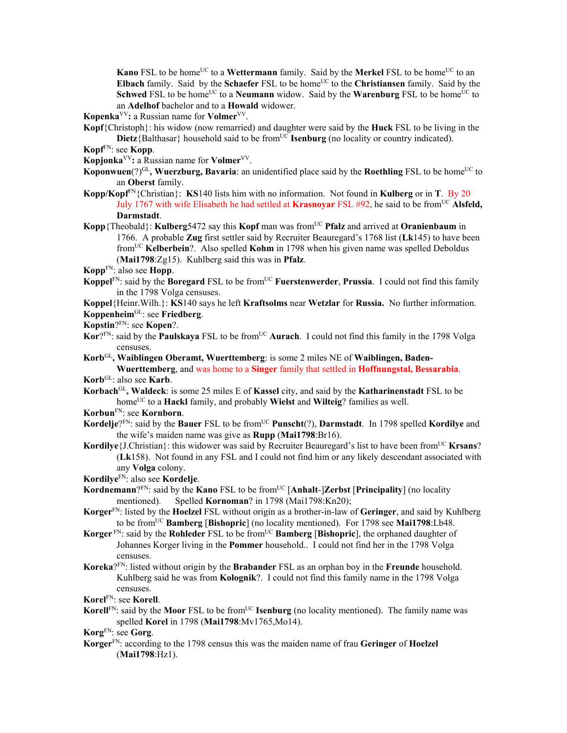**Kano** FSL to be home<sup>UC</sup> to a **Wettermann** family. Said by the **Merkel** FSL to be home<sup>UC</sup> to an **Elbach** family. Said by the **Schaefer** FSL to be home<sup>UC</sup> to the **Christiansen** family. Said by the **Schwed** FSL to be home<sup>UC</sup> to a **Neumann** widow. Said by the **Warenburg** FSL to be home<sup>UC</sup> to an **Adelhof** bachelor and to a **Howald** widower.

**Kopenka**VV**:** a Russian name for **Volmer**VV.

- **Kopf**{Christoph}: his widow (now remarried) and daughter were said by the **Huck** FSL to be living in the **Dietz**{Balthasar} household said to be from<sup>UC</sup> **Isenburg** (no locality or country indicated).
- **Kopf**FN: see **Kopp**.

**Kopjonka**VV**:** a Russian name for **Volmer**VV.

- **Koponwuen** $(?)^{GL}$ , **Wuerzburg, Bavaria**: an unidentified place said by the **Roethling** FSL to be home<sup>UC</sup> to an **Oberst** family.
- **Kopp/Kopf**<sup>FN</sup>{Christian}: **KS**140 lists him with no information. Not found in **Kulberg** or in **T**. By 20 July 1767 with wife Elisabeth he had settled at **Krasnoyar** FSL #92, he said to be fromUC **Alsfeld, Darmstadt**.
- **Kopp**{Theobald}: **Kulberg**5472 say this **Kopf** man was from<sup>UC</sup> **Pfalz** and arrived at **Oranienbaum** in 1766. A probable **Zug** first settler said by Recruiter Beauregard's 1768 list (**Lk**145) to have been fromUC **Kelberbein**?. Also spelled **Kohm** in 1798 when his given name was spelled Deboldus (**Mai1798**:Zg15). Kuhlberg said this was in **Pfalz**.

**Kopp**FN: also see **Hopp**.

**Koppel<sup>FN</sup>: said by the <b>Boregard** FSL to be from<sup>UC</sup> **Fuerstenwerder**, **Prussia**. I could not find this family in the 1798 Volga censuses.

**Koppel**{Heinr.Wilh.}: **KS**140 says he left **Kraftsolms** near **Wetzlar** for **Russia.** No further information. **Koppenheim**GL: see **Friedberg**.

- **Kopstin**?FN: see **Kopen**?.
- Kor?FN: said by the **Paulskaya** FSL to be from<sup>UC</sup> Aurach. I could not find this family in the 1798 Volga censuses.
- **Korb**GL**, Waiblingen Oberamt, Wuerttemberg**: is some 2 miles NE of **Waiblingen, Baden-Wuerttemberg**, and was home to a **Singer** family that settled in **Hoffnungstal, Bessarabia**.

**Korb**GL: also see **Karb**.

**Korbach**GL**, Waldeck**: is some 25 miles E of **Kassel** city, and said by the **Katharinenstadt** FSL to be homeUC to a **Hackl** family, and probably **Wielst** and **Wilteig**? families as well.

**Korbun**FN: see **Kornborn**.

- **Kordelje**?FN: said by the **Bauer** FSL to be from<sup>UC</sup> **Punscht**(?), **Darmstadt**. In 1798 spelled **Kordilye** and the wife's maiden name was give as **Rupp** (**Mai1798**:Br16).
- **Kordilye** {J.Christian}: this widower was said by Recruiter Beauregard's list to have been from<sup>UC</sup> **Krsans**? (**Lk**158). Not found in any FSL and I could not find him or any likely descendant associated with any **Volga** colony.

**Kordilye**FN: also see **Kordelje**.

- **Kordnemann**?<sup>FN</sup>: said by the **Kano** FSL to be from<sup>UC</sup> [Anhalt-]Zerbst [Principality] (no locality mentioned). Spelled **Kornoman**? in 1798 (Mai1798:Kn20);
- **Korger**FN: listed by the **Hoelzel** FSL without origin as a brother-in-law of **Geringer**, and said by Kuhlberg to be fromUC **Bamberg** [**Bishopric**] (no locality mentioned). For 1798 see **Mai1798**:Lb48.
- **Korger** FN: said by the **Rohleder** FSL to be fromUC **Bamberg** [**Bishopric**], the orphaned daughter of Johannes Korger living in the **Pommer** household.. I could not find her in the 1798 Volga censuses.
- **Koreka**?FN: listed without origin by the **Brabander** FSL as an orphan boy in the **Freunde** household. Kuhlberg said he was from **Kolognik**?. I could not find this family name in the 1798 Volga censuses.

**Korel**FN: see **Korell**.

**Korell**<sup>FN</sup>: said by the **Moor** FSL to be from<sup>UC</sup> **Isenburg** (no locality mentioned). The family name was spelled **Korel** in 1798 (**Mai1798**:Mv1765,Mo14).

**Korg**FN: see **Gorg**.

**Korger**FN: according to the 1798 census this was the maiden name of frau **Geringer** of **Hoelzel** (**Mai1798**:Hz1).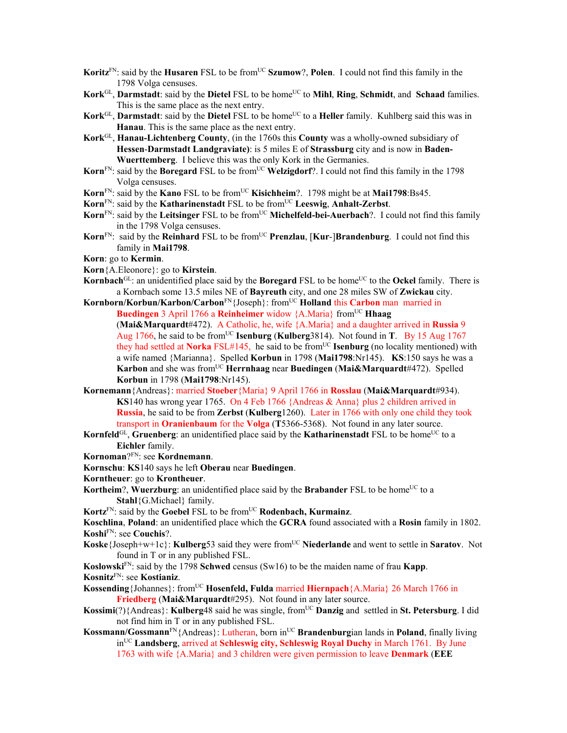- **Koritz**<sup>FN</sup>: said by the **Husaren** FSL to be from<sup>UC</sup> **Szumow**?, **Polen**. I could not find this family in the 1798 Volga censuses.
- **Kork**GL, **Darmstadt**: said by the **Dietel** FSL to be home<sup>UC</sup> to **Mihl**, **Ring**, **Schmidt**, and **Schaad** families. This is the same place as the next entry.
- **Kork**GL, **Darmstadt**: said by the **Dietel** FSL to be home<sup>UC</sup> to a **Heller** family. Kuhlberg said this was in **Hanau**. This is the same place as the next entry.
- **Kork**GL, **Hanau-Lichtenberg County**, (in the 1760s this **County** was a wholly-owned subsidiary of **Hessen**-**Darmstadt Landgraviate)**: is 5 miles E of **Strassburg** city and is now in **Baden-Wuerttemberg**. I believe this was the only Kork in the Germanies.
- **Korn**<sup>FN</sup>: said by the **Boregard** FSL to be from<sup>UC</sup> **Welzigdorf**?. I could not find this family in the 1798 Volga censuses.
- **Korn**<sup>FN</sup>: said by the **Kano** FSL to be from<sup>UC</sup> **Kisichheim**?. 1798 might be at **Mai1798**:Bs45.
- **Korn**FN: said by the **Katharinenstadt** FSL to be fromUC **Leeswig**, **Anhalt-Zerbst**.
- Korn<sup>FN</sup>: said by the Leitsinger FSL to be from<sup>UC</sup> Michelfeld-bei-Auerbach?. I could not find this family in the 1798 Volga censuses.
- **Korn**<sup>FN</sup>: said by the **Reinhard** FSL to be from<sup>UC</sup> **Prenzlau**, [**Kur-**]Brandenburg. I could not find this family in **Mai1798**.

**Korn**: go to **Kermin**.

- **Korn**{A.Eleonore}: go to **Kirstein**.
- **Kornbach**<sup>GL</sup>: an unidentified place said by the **Boregard** FSL to be home<sup>UC</sup> to the **Ockel** family. There is a Kornbach some 13.5 miles NE of **Bayreuth** city, and one 28 miles SW of **Zwickau** city.
- **Kornborn/Korbun/Karbon/Carbon**FN{Joseph}: fromUC **Holland** this **Carbon** man married in **Buedingen** 3 April 1766 a **Reinheimer** widow {A.Maria} from<sup>UC</sup> **Hhaag** (**Mai&Marquardt**#472). A Catholic, he, wife {A.Maria} and a daughter arrived in **Russia** 9 Aug 1766, he said to be fromUC **Isenburg** (**Kulberg**3814). Not found in **T**. By 15 Aug 1767 they had settled at **Norka** FSL#145, he said to be from<sup>UC</sup> **Isenburg** (no locality mentioned) with a wife named {Marianna}. Spelled **Korbun** in 1798 (**Mai1798**:Nr145). **KS**:150 says he was a **Karbon** and she was fromUC **Herrnhaag** near **Buedingen** (**Mai&Marquardt**#472). Spelled **Korbun** in 1798 (**Mai1798**:Nr145).
- **Kornemann**{Andreas}: married **Stoeber**{Maria} 9 April 1766 in **Rosslau** (**Mai&Marquardt**#934). **KS**140 has wrong year 1765. On 4 Feb 1766 {Andreas & Anna} plus 2 children arrived in **Russia**, he said to be from **Zerbst** (**Kulberg**1260). Later in 1766 with only one child they took transport in **Oranienbaum** for the **Volga** (**T**5366-5368). Not found in any later source.
- **Kornfeld**<sup>GL</sup>, **Gruenberg**: an unidentified place said by the **Katharinenstadt** FSL to be home<sup>UC</sup> to a **Eichler** family.

**Kornoman**?FN: see **Kordnemann**.

- **Kornschu**: **KS**140 says he left **Oberau** near **Buedingen**.
- **Korntheuer**: go to **Krontheuer**.
- **Kortheim**?, **Wuerzburg**: an unidentified place said by the **Brabander** FSL to be home<sup>UC</sup> to a **Stahl**{G.Michael} family.

**Kortz**<sup>FN</sup>: said by the **Goebel** FSL to be from<sup>UC</sup> **Rodenbach, Kurmainz**.

**Koschlina**, **Poland**: an unidentified place which the **GCRA** found associated with a **Rosin** family in 1802. **Koshi**FN: see **Couchis**?.

- **Koske**{Joseph+w+1c}: **Kulberg**53 said they were from<sup>UC</sup> Niederlande and went to settle in **Saratov**. Not found in T or in any published FSL.
- **Koslowski**FN: said by the 1798 **Schwed** census (Sw16) to be the maiden name of frau **Kapp**. **Kosnitz**FN: see **Kostianiz**.
- **Kossending**{Johannes}: from<sup>UC</sup> **Hosenfeld, Fulda** married **Hiernpach**{A.Maria} 26 March 1766 in **Friedberg** (**Mai&Marquardt**#295). Not found in any later source.
- **Kossimi**(?){Andreas}: **Kulberg**48 said he was single, from<sup>UC</sup> **Danzig** and settled in **St. Petersburg**. I did not find him in T or in any published FSL.
- **Kossmann/Gossmann**<sup>FN</sup>{Andreas}: Lutheran, born in<sup>UC</sup> **Brandenburgian lands in Poland**, finally living inUC **Landsberg**, arrived at **Schleswig city, Schleswig Royal Duchy** in March 1761. By June 1763 with wife {A.Maria} and 3 children were given permission to leave **Denmark** (**EEE**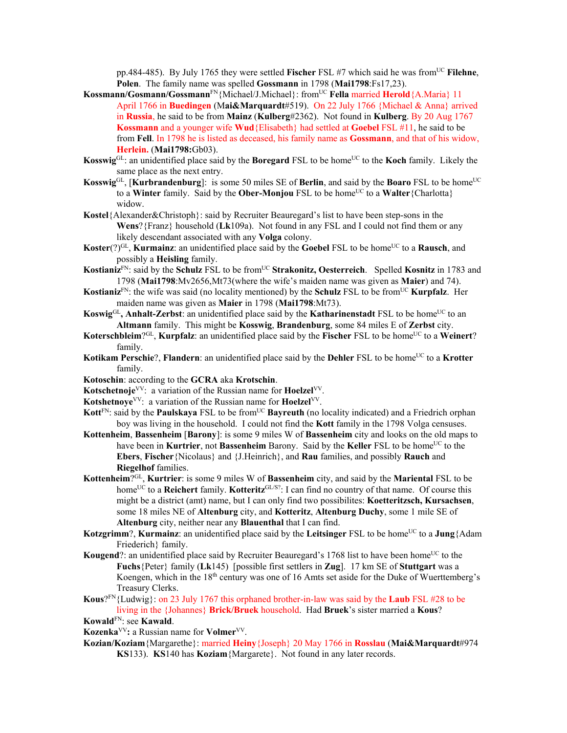pp.484-485). By July 1765 they were settled **Fischer** FSL #7 which said he was from<sup>UC</sup> **Filehne**, **Polen**. The family name was spelled **Gossmann** in 1798 (**Mai1798**:Fs17,23).

- **Kossmann/Gosmann/Gossmann**FN{Michael/J.Michael}: fromUC **Fella** married **Herold**{A.Maria} 11 April 1766 in **Buedingen** (M**ai&Marquardt**#519). On 22 July 1766 {Michael & Anna} arrived in **Russia**, he said to be from **Mainz** (**Kulberg**#2362). Not found in **Kulberg**. By 20 Aug 1767 **Kossmann** and a younger wife **Wud**{Elisabeth} had settled at **Goebel** FSL #11, he said to be from **Fell**. In 1798 he is listed as deceased, his family name as **Gossmann**, and that of his widow, **Herlein.** (**Mai1798:**Gb03).
- **Kosswig**<sup>GL</sup>: an unidentified place said by the **Boregard** FSL to be home<sup>UC</sup> to the **Koch** family. Likely the same place as the next entry.
- **Kosswig**GL, [**Kurbrandenburg**]: is some 50 miles SE of **Berlin**, and said by the **Boaro** FSL to be home<sup>UC</sup> to a **Winter** family. Said by the **Ober-Monjou** FSL to be home<sup>UC</sup> to a **Walter**{Charlotta} widow.
- **Kostel**{Alexander&Christoph}: said by Recruiter Beauregard's list to have been step-sons in the **Wens**?{Franz} household (**Lk**109a). Not found in any FSL and I could not find them or any likely descendant associated with any **Volga** colony.
- **Koster**(?)<sup>GL</sup>, **Kurmainz**: an unidentified place said by the **Goebel** FSL to be home<sup>UC</sup> to a **Rausch**, and possibly a **Heisling** family.
- **Kostianiz**<sup>FN</sup>: said by the **Schulz** FSL to be from<sup>UC</sup> **Strakonitz, Oesterreich**. Spelled **Kosnitz** in 1783 and 1798 (**Mai1798**:Mv2656,Mt73(where the wife's maiden name was given as **Maier**) and 74).
- **Kostianiz**<sup>FN</sup>: the wife was said (no locality mentioned) by the **Schulz** FSL to be from<sup>UC</sup> **Kurpfalz**. Her maiden name was given as **Maier** in 1798 (**Mai1798**:Mt73).
- **Koswig**<sup>GL</sup>, **Anhalt-Zerbst**: an unidentified place said by the **Katharinenstadt** FSL to be home<sup>UC</sup> to an **Altmann** family. This might be **Kosswig**, **Brandenburg**, some 84 miles E of **Zerbst** city.
- **Koterschbleim**?GL, **Kurpfalz**: an unidentified place said by the **Fischer** FSL to be home<sup>UC</sup> to a **Weinert**? family.
- **Kotikam Perschie**?, **Flandern**: an unidentified place said by the **Dehler** FSL to be home<sup>UC</sup> to a **Krotter** family.
- **Kotoschin**: according to the **GCRA** aka **Krotschin**.
- **Kotschetnoje**VV: a variation of the Russian name for **Hoelzel**VV.
- **Kotshetnoye**VV: a variation of the Russian name for **Hoelzel**VV.
- **Kott**<sup>FN</sup>: said by the **Paulskaya** FSL to be from<sup>UC</sup> **Bayreuth** (no locality indicated) and a Friedrich orphan boy was living in the household. I could not find the **Kott** family in the 1798 Volga censuses.
- **Kottenheim**, **Bassenheim** [**Barony**]: is some 9 miles W of **Bassenheim** city and looks on the old maps to have been in **Kurtrier**, not **Bassenheim** Barony. Said by the **Keller** FSL to be home<sup>UC</sup> to the **Ebers**, **Fischer**{Nicolaus} and {J.Heinrich}, and **Rau** families, and possibly **Rauch** and **Riegelhof** families.
- **Kottenheim**?GL, **Kurtrier**: is some 9 miles W of **Bassenheim** city, and said by the **Mariental** FSL to be home<sup>UC</sup> to a **Reichert** family. **Kotteritz**<sup>GL/S?</sup>: I can find no country of that name. Of course this might be a district (amt) name, but I can only find two possibilites: **Koetteritzsch, Kursachsen**, some 18 miles NE of **Altenburg** city, and **Kotteritz**, **Altenburg Duchy**, some 1 mile SE of **Altenburg** city, neither near any **Blauenthal** that I can find.
- **Kotzgrimm**?, **Kurmainz**: an unidentified place said by the **Leitsinger** FSL to be home<sup>UC</sup> to a **Jung**{Adam Friederich} family.
- **Kougend**?: an unidentified place said by Recruiter Beauregard's 1768 list to have been home<sup>UC</sup> to the **Fuchs**{Peter} family (**Lk**145) [possible first settlers in **Zug**]. 17 km SE of **Stuttgart** was a Koengen, which in the 18th century was one of 16 Amts set aside for the Duke of Wuerttemberg's Treasury Clerks.
- **Kous**?FN{Ludwig}: on 23 July 1767 this orphaned brother-in-law was said by the **Laub** FSL #28 to be living in the {Johannes} **Brick/Bruek** household. Had **Bruek**'s sister married a **Kous**?

- **Kozenka**VV**:** a Russian name for **Volmer**VV.
- **Kozian/Koziam**{Margarethe}: married **Heiny**{Joseph} 20 May 1766 in **Rosslau** (**Mai&Marquardt**#974 **KS**133). **KS**140 has **Koziam**{Margarete}. Not found in any later records.

**Kowald**FN: see **Kawald**.